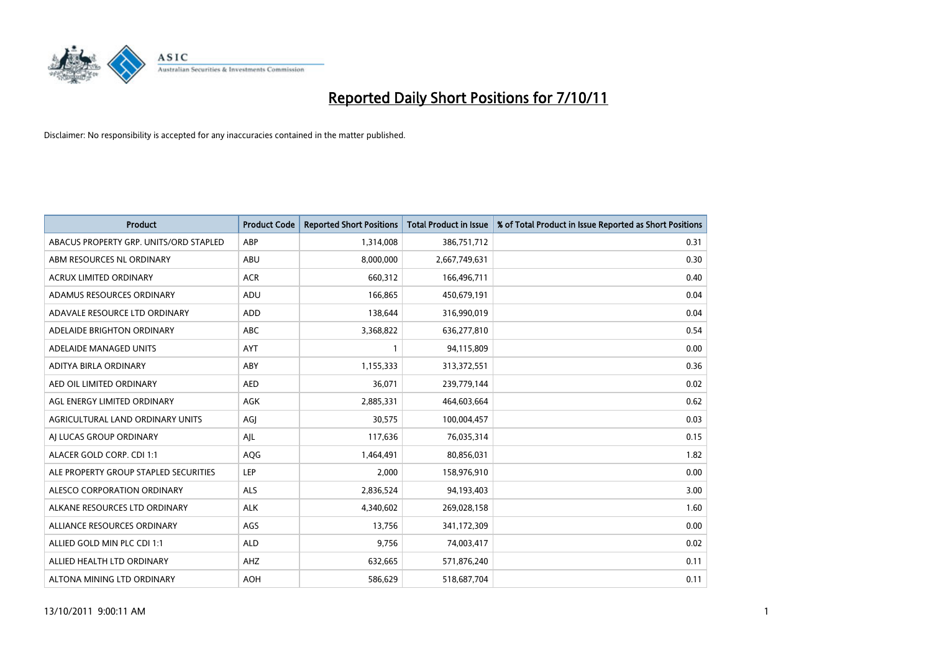

| <b>Product</b>                         | <b>Product Code</b> | <b>Reported Short Positions</b> | <b>Total Product in Issue</b> | % of Total Product in Issue Reported as Short Positions |
|----------------------------------------|---------------------|---------------------------------|-------------------------------|---------------------------------------------------------|
| ABACUS PROPERTY GRP. UNITS/ORD STAPLED | ABP                 | 1,314,008                       | 386,751,712                   | 0.31                                                    |
| ABM RESOURCES NL ORDINARY              | ABU                 | 8,000,000                       | 2,667,749,631                 | 0.30                                                    |
| <b>ACRUX LIMITED ORDINARY</b>          | <b>ACR</b>          | 660,312                         | 166,496,711                   | 0.40                                                    |
| ADAMUS RESOURCES ORDINARY              | ADU                 | 166,865                         | 450,679,191                   | 0.04                                                    |
| ADAVALE RESOURCE LTD ORDINARY          | ADD                 | 138.644                         | 316,990,019                   | 0.04                                                    |
| ADELAIDE BRIGHTON ORDINARY             | <b>ABC</b>          | 3,368,822                       | 636,277,810                   | 0.54                                                    |
| ADELAIDE MANAGED UNITS                 | <b>AYT</b>          |                                 | 94,115,809                    | 0.00                                                    |
| ADITYA BIRLA ORDINARY                  | ABY                 | 1,155,333                       | 313,372,551                   | 0.36                                                    |
| AED OIL LIMITED ORDINARY               | <b>AED</b>          | 36,071                          | 239,779,144                   | 0.02                                                    |
| AGL ENERGY LIMITED ORDINARY            | <b>AGK</b>          | 2,885,331                       | 464,603,664                   | 0.62                                                    |
| AGRICULTURAL LAND ORDINARY UNITS       | AGJ                 | 30,575                          | 100,004,457                   | 0.03                                                    |
| AI LUCAS GROUP ORDINARY                | AJL                 | 117,636                         | 76,035,314                    | 0.15                                                    |
| ALACER GOLD CORP. CDI 1:1              | <b>AQG</b>          | 1,464,491                       | 80,856,031                    | 1.82                                                    |
| ALE PROPERTY GROUP STAPLED SECURITIES  | LEP                 | 2.000                           | 158,976,910                   | 0.00                                                    |
| ALESCO CORPORATION ORDINARY            | <b>ALS</b>          | 2,836,524                       | 94,193,403                    | 3.00                                                    |
| ALKANE RESOURCES LTD ORDINARY          | <b>ALK</b>          | 4,340,602                       | 269,028,158                   | 1.60                                                    |
| ALLIANCE RESOURCES ORDINARY            | AGS                 | 13,756                          | 341,172,309                   | 0.00                                                    |
| ALLIED GOLD MIN PLC CDI 1:1            | <b>ALD</b>          | 9,756                           | 74,003,417                    | 0.02                                                    |
| ALLIED HEALTH LTD ORDINARY             | AHZ                 | 632,665                         | 571,876,240                   | 0.11                                                    |
| ALTONA MINING LTD ORDINARY             | <b>AOH</b>          | 586.629                         | 518,687,704                   | 0.11                                                    |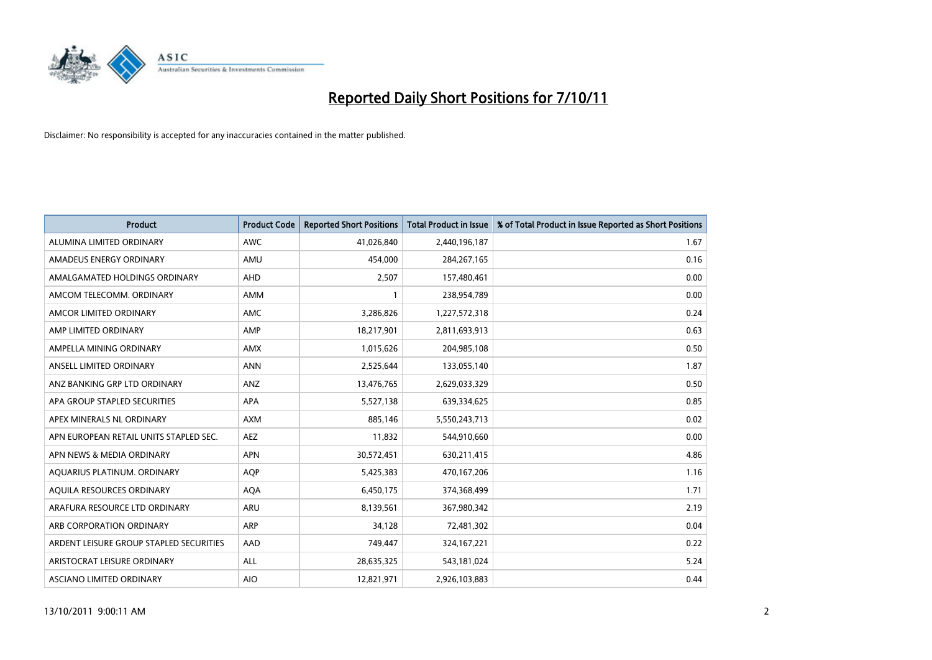

| <b>Product</b>                          | <b>Product Code</b> | <b>Reported Short Positions</b> | <b>Total Product in Issue</b> | % of Total Product in Issue Reported as Short Positions |
|-----------------------------------------|---------------------|---------------------------------|-------------------------------|---------------------------------------------------------|
| ALUMINA LIMITED ORDINARY                | <b>AWC</b>          | 41,026,840                      | 2,440,196,187                 | 1.67                                                    |
| AMADEUS ENERGY ORDINARY                 | AMU                 | 454,000                         | 284, 267, 165                 | 0.16                                                    |
| AMALGAMATED HOLDINGS ORDINARY           | AHD                 | 2,507                           | 157,480,461                   | 0.00                                                    |
| AMCOM TELECOMM. ORDINARY                | <b>AMM</b>          |                                 | 238,954,789                   | 0.00                                                    |
| AMCOR LIMITED ORDINARY                  | <b>AMC</b>          | 3,286,826                       | 1,227,572,318                 | 0.24                                                    |
| AMP LIMITED ORDINARY                    | AMP                 | 18,217,901                      | 2,811,693,913                 | 0.63                                                    |
| AMPELLA MINING ORDINARY                 | <b>AMX</b>          | 1,015,626                       | 204,985,108                   | 0.50                                                    |
| ANSELL LIMITED ORDINARY                 | <b>ANN</b>          | 2,525,644                       | 133,055,140                   | 1.87                                                    |
| ANZ BANKING GRP LTD ORDINARY            | ANZ                 | 13,476,765                      | 2,629,033,329                 | 0.50                                                    |
| APA GROUP STAPLED SECURITIES            | <b>APA</b>          | 5,527,138                       | 639,334,625                   | 0.85                                                    |
| APEX MINERALS NL ORDINARY               | <b>AXM</b>          | 885,146                         | 5,550,243,713                 | 0.02                                                    |
| APN EUROPEAN RETAIL UNITS STAPLED SEC.  | <b>AEZ</b>          | 11,832                          | 544,910,660                   | 0.00                                                    |
| APN NEWS & MEDIA ORDINARY               | <b>APN</b>          | 30,572,451                      | 630,211,415                   | 4.86                                                    |
| AQUARIUS PLATINUM. ORDINARY             | <b>AOP</b>          | 5,425,383                       | 470,167,206                   | 1.16                                                    |
| AQUILA RESOURCES ORDINARY               | <b>AQA</b>          | 6,450,175                       | 374,368,499                   | 1.71                                                    |
| ARAFURA RESOURCE LTD ORDINARY           | ARU                 | 8,139,561                       | 367,980,342                   | 2.19                                                    |
| ARB CORPORATION ORDINARY                | <b>ARP</b>          | 34,128                          | 72,481,302                    | 0.04                                                    |
| ARDENT LEISURE GROUP STAPLED SECURITIES | AAD                 | 749,447                         | 324, 167, 221                 | 0.22                                                    |
| ARISTOCRAT LEISURE ORDINARY             | <b>ALL</b>          | 28,635,325                      | 543,181,024                   | 5.24                                                    |
| ASCIANO LIMITED ORDINARY                | <b>AIO</b>          | 12,821,971                      | 2,926,103,883                 | 0.44                                                    |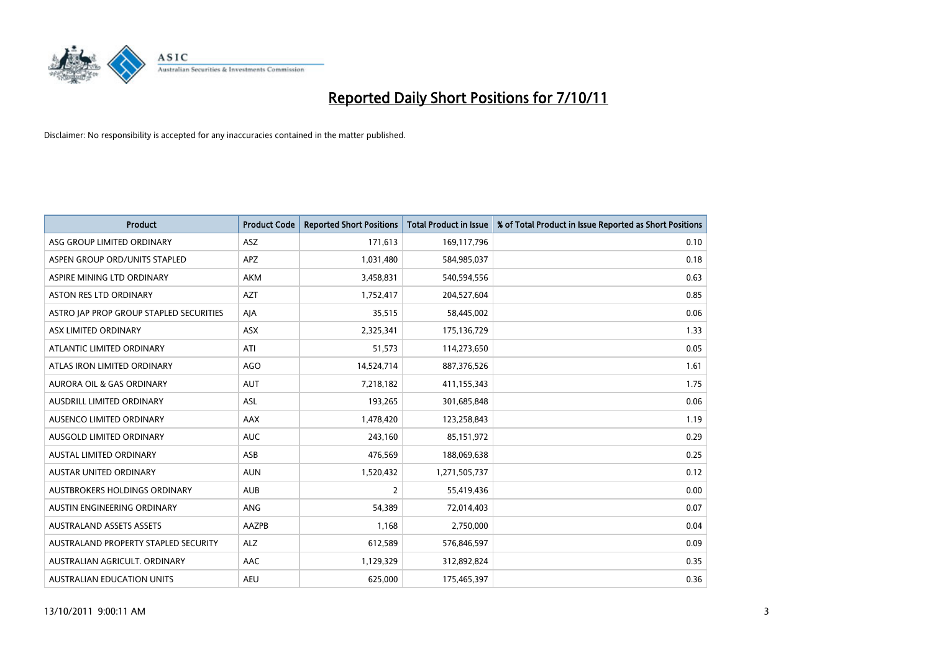

| <b>Product</b>                          | <b>Product Code</b> | <b>Reported Short Positions</b> | <b>Total Product in Issue</b> | % of Total Product in Issue Reported as Short Positions |
|-----------------------------------------|---------------------|---------------------------------|-------------------------------|---------------------------------------------------------|
| ASG GROUP LIMITED ORDINARY              | <b>ASZ</b>          | 171,613                         | 169,117,796                   | 0.10                                                    |
| ASPEN GROUP ORD/UNITS STAPLED           | APZ                 | 1,031,480                       | 584,985,037                   | 0.18                                                    |
| ASPIRE MINING LTD ORDINARY              | <b>AKM</b>          | 3,458,831                       | 540,594,556                   | 0.63                                                    |
| <b>ASTON RES LTD ORDINARY</b>           | <b>AZT</b>          | 1,752,417                       | 204,527,604                   | 0.85                                                    |
| ASTRO JAP PROP GROUP STAPLED SECURITIES | AJA                 | 35,515                          | 58,445,002                    | 0.06                                                    |
| ASX LIMITED ORDINARY                    | ASX                 | 2,325,341                       | 175,136,729                   | 1.33                                                    |
| ATLANTIC LIMITED ORDINARY               | ATI                 | 51,573                          | 114,273,650                   | 0.05                                                    |
| ATLAS IRON LIMITED ORDINARY             | AGO                 | 14,524,714                      | 887,376,526                   | 1.61                                                    |
| AURORA OIL & GAS ORDINARY               | <b>AUT</b>          | 7,218,182                       | 411,155,343                   | 1.75                                                    |
| AUSDRILL LIMITED ORDINARY               | <b>ASL</b>          | 193,265                         | 301,685,848                   | 0.06                                                    |
| AUSENCO LIMITED ORDINARY                | <b>AAX</b>          | 1,478,420                       | 123,258,843                   | 1.19                                                    |
| <b>AUSGOLD LIMITED ORDINARY</b>         | <b>AUC</b>          | 243,160                         | 85,151,972                    | 0.29                                                    |
| AUSTAL LIMITED ORDINARY                 | ASB                 | 476,569                         | 188,069,638                   | 0.25                                                    |
| <b>AUSTAR UNITED ORDINARY</b>           | <b>AUN</b>          | 1,520,432                       | 1,271,505,737                 | 0.12                                                    |
| AUSTBROKERS HOLDINGS ORDINARY           | <b>AUB</b>          | 2                               | 55,419,436                    | 0.00                                                    |
| AUSTIN ENGINEERING ORDINARY             | ANG                 | 54,389                          | 72,014,403                    | 0.07                                                    |
| <b>AUSTRALAND ASSETS ASSETS</b>         | AAZPB               | 1,168                           | 2,750,000                     | 0.04                                                    |
| AUSTRALAND PROPERTY STAPLED SECURITY    | <b>ALZ</b>          | 612,589                         | 576,846,597                   | 0.09                                                    |
| AUSTRALIAN AGRICULT, ORDINARY           | AAC                 | 1,129,329                       | 312,892,824                   | 0.35                                                    |
| AUSTRALIAN EDUCATION UNITS              | <b>AEU</b>          | 625.000                         | 175,465,397                   | 0.36                                                    |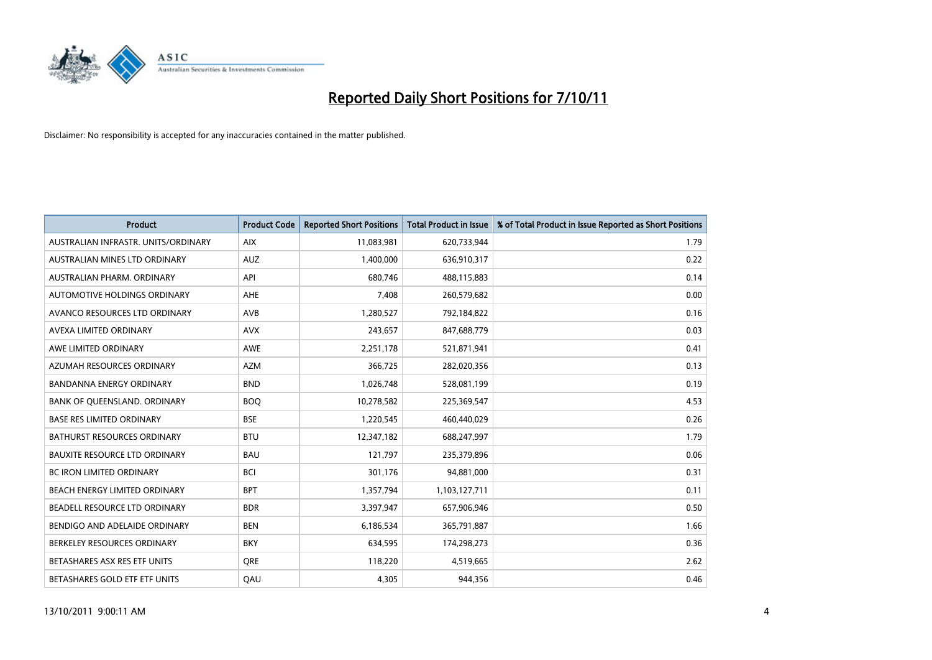

| <b>Product</b>                       | <b>Product Code</b> | <b>Reported Short Positions</b> | <b>Total Product in Issue</b> | % of Total Product in Issue Reported as Short Positions |
|--------------------------------------|---------------------|---------------------------------|-------------------------------|---------------------------------------------------------|
| AUSTRALIAN INFRASTR, UNITS/ORDINARY  | <b>AIX</b>          | 11,083,981                      | 620,733,944                   | 1.79                                                    |
| AUSTRALIAN MINES LTD ORDINARY        | AUZ                 | 1,400,000                       | 636,910,317                   | 0.22                                                    |
| AUSTRALIAN PHARM, ORDINARY           | API                 | 680.746                         | 488,115,883                   | 0.14                                                    |
| AUTOMOTIVE HOLDINGS ORDINARY         | <b>AHE</b>          | 7,408                           | 260,579,682                   | 0.00                                                    |
| AVANCO RESOURCES LTD ORDINARY        | AVB                 | 1,280,527                       | 792,184,822                   | 0.16                                                    |
| AVEXA LIMITED ORDINARY               | <b>AVX</b>          | 243,657                         | 847,688,779                   | 0.03                                                    |
| AWE LIMITED ORDINARY                 | AWE                 | 2,251,178                       | 521,871,941                   | 0.41                                                    |
| AZUMAH RESOURCES ORDINARY            | <b>AZM</b>          | 366,725                         | 282,020,356                   | 0.13                                                    |
| <b>BANDANNA ENERGY ORDINARY</b>      | <b>BND</b>          | 1,026,748                       | 528,081,199                   | 0.19                                                    |
| BANK OF QUEENSLAND. ORDINARY         | <b>BOQ</b>          | 10,278,582                      | 225,369,547                   | 4.53                                                    |
| <b>BASE RES LIMITED ORDINARY</b>     | <b>BSE</b>          | 1,220,545                       | 460,440,029                   | 0.26                                                    |
| <b>BATHURST RESOURCES ORDINARY</b>   | <b>BTU</b>          | 12,347,182                      | 688,247,997                   | 1.79                                                    |
| <b>BAUXITE RESOURCE LTD ORDINARY</b> | <b>BAU</b>          | 121,797                         | 235,379,896                   | 0.06                                                    |
| <b>BC IRON LIMITED ORDINARY</b>      | <b>BCI</b>          | 301,176                         | 94,881,000                    | 0.31                                                    |
| <b>BEACH ENERGY LIMITED ORDINARY</b> | <b>BPT</b>          | 1,357,794                       | 1,103,127,711                 | 0.11                                                    |
| BEADELL RESOURCE LTD ORDINARY        | <b>BDR</b>          | 3,397,947                       | 657,906,946                   | 0.50                                                    |
| BENDIGO AND ADELAIDE ORDINARY        | <b>BEN</b>          | 6,186,534                       | 365,791,887                   | 1.66                                                    |
| BERKELEY RESOURCES ORDINARY          | <b>BKY</b>          | 634,595                         | 174,298,273                   | 0.36                                                    |
| BETASHARES ASX RES ETF UNITS         | <b>ORE</b>          | 118,220                         | 4,519,665                     | 2.62                                                    |
| BETASHARES GOLD ETF ETF UNITS        | QAU                 | 4,305                           | 944,356                       | 0.46                                                    |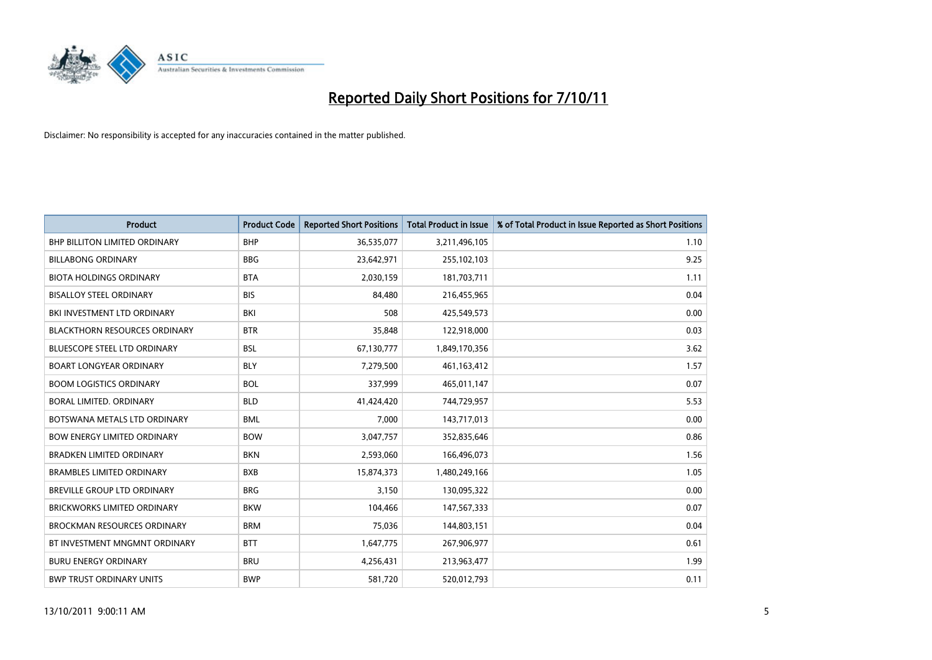

| <b>Product</b>                       | <b>Product Code</b> | <b>Reported Short Positions</b> | <b>Total Product in Issue</b> | % of Total Product in Issue Reported as Short Positions |
|--------------------------------------|---------------------|---------------------------------|-------------------------------|---------------------------------------------------------|
| BHP BILLITON LIMITED ORDINARY        | <b>BHP</b>          | 36,535,077                      | 3,211,496,105                 | 1.10                                                    |
| <b>BILLABONG ORDINARY</b>            | <b>BBG</b>          | 23,642,971                      | 255,102,103                   | 9.25                                                    |
| <b>BIOTA HOLDINGS ORDINARY</b>       | <b>BTA</b>          | 2,030,159                       | 181,703,711                   | 1.11                                                    |
| <b>BISALLOY STEEL ORDINARY</b>       | <b>BIS</b>          | 84,480                          | 216,455,965                   | 0.04                                                    |
| BKI INVESTMENT LTD ORDINARY          | BKI                 | 508                             | 425,549,573                   | 0.00                                                    |
| <b>BLACKTHORN RESOURCES ORDINARY</b> | <b>BTR</b>          | 35,848                          | 122,918,000                   | 0.03                                                    |
| <b>BLUESCOPE STEEL LTD ORDINARY</b>  | <b>BSL</b>          | 67,130,777                      | 1,849,170,356                 | 3.62                                                    |
| <b>BOART LONGYEAR ORDINARY</b>       | <b>BLY</b>          | 7,279,500                       | 461,163,412                   | 1.57                                                    |
| <b>BOOM LOGISTICS ORDINARY</b>       | <b>BOL</b>          | 337,999                         | 465,011,147                   | 0.07                                                    |
| BORAL LIMITED, ORDINARY              | <b>BLD</b>          | 41,424,420                      | 744,729,957                   | 5.53                                                    |
| BOTSWANA METALS LTD ORDINARY         | <b>BML</b>          | 7,000                           | 143,717,013                   | 0.00                                                    |
| <b>BOW ENERGY LIMITED ORDINARY</b>   | <b>BOW</b>          | 3,047,757                       | 352,835,646                   | 0.86                                                    |
| <b>BRADKEN LIMITED ORDINARY</b>      | <b>BKN</b>          | 2,593,060                       | 166,496,073                   | 1.56                                                    |
| <b>BRAMBLES LIMITED ORDINARY</b>     | <b>BXB</b>          | 15,874,373                      | 1,480,249,166                 | 1.05                                                    |
| <b>BREVILLE GROUP LTD ORDINARY</b>   | <b>BRG</b>          | 3,150                           | 130,095,322                   | 0.00                                                    |
| <b>BRICKWORKS LIMITED ORDINARY</b>   | <b>BKW</b>          | 104,466                         | 147,567,333                   | 0.07                                                    |
| <b>BROCKMAN RESOURCES ORDINARY</b>   | <b>BRM</b>          | 75,036                          | 144,803,151                   | 0.04                                                    |
| BT INVESTMENT MNGMNT ORDINARY        | <b>BTT</b>          | 1,647,775                       | 267,906,977                   | 0.61                                                    |
| <b>BURU ENERGY ORDINARY</b>          | <b>BRU</b>          | 4,256,431                       | 213,963,477                   | 1.99                                                    |
| <b>BWP TRUST ORDINARY UNITS</b>      | <b>BWP</b>          | 581,720                         | 520,012,793                   | 0.11                                                    |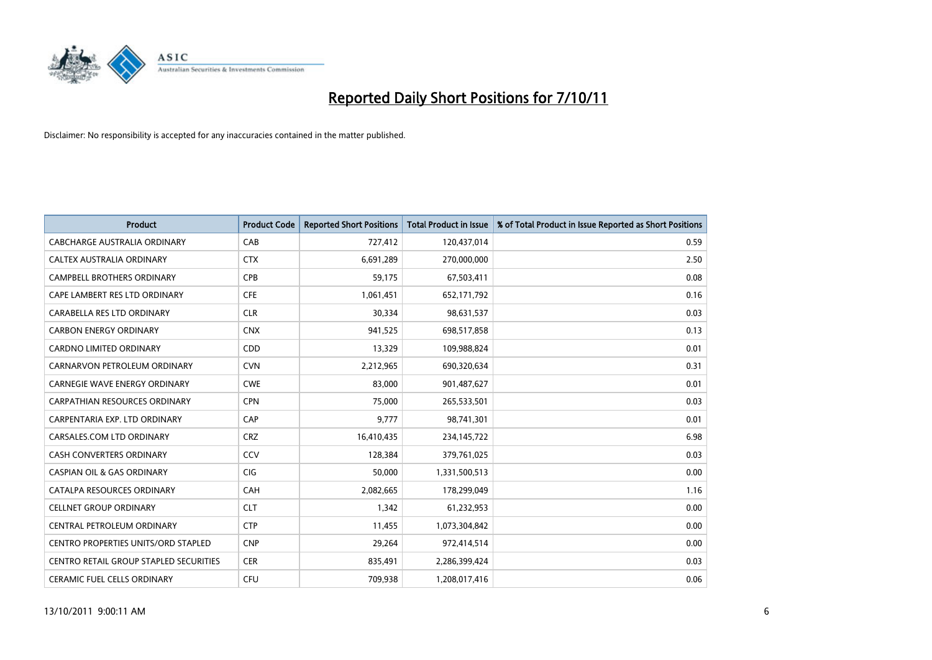

| <b>Product</b>                         | <b>Product Code</b> | <b>Reported Short Positions</b> | <b>Total Product in Issue</b> | % of Total Product in Issue Reported as Short Positions |
|----------------------------------------|---------------------|---------------------------------|-------------------------------|---------------------------------------------------------|
| CABCHARGE AUSTRALIA ORDINARY           | CAB                 | 727,412                         | 120,437,014                   | 0.59                                                    |
| CALTEX AUSTRALIA ORDINARY              | <b>CTX</b>          | 6,691,289                       | 270,000,000                   | 2.50                                                    |
| <b>CAMPBELL BROTHERS ORDINARY</b>      | <b>CPB</b>          | 59,175                          | 67,503,411                    | 0.08                                                    |
| CAPE LAMBERT RES LTD ORDINARY          | <b>CFE</b>          | 1,061,451                       | 652,171,792                   | 0.16                                                    |
| CARABELLA RES LTD ORDINARY             | <b>CLR</b>          | 30,334                          | 98,631,537                    | 0.03                                                    |
| <b>CARBON ENERGY ORDINARY</b>          | <b>CNX</b>          | 941,525                         | 698,517,858                   | 0.13                                                    |
| <b>CARDNO LIMITED ORDINARY</b>         | CDD                 | 13,329                          | 109,988,824                   | 0.01                                                    |
| CARNARVON PETROLEUM ORDINARY           | <b>CVN</b>          | 2,212,965                       | 690,320,634                   | 0.31                                                    |
| CARNEGIE WAVE ENERGY ORDINARY          | <b>CWE</b>          | 83,000                          | 901,487,627                   | 0.01                                                    |
| CARPATHIAN RESOURCES ORDINARY          | <b>CPN</b>          | 75,000                          | 265,533,501                   | 0.03                                                    |
| CARPENTARIA EXP. LTD ORDINARY          | CAP                 | 9,777                           | 98,741,301                    | 0.01                                                    |
| CARSALES.COM LTD ORDINARY              | <b>CRZ</b>          | 16,410,435                      | 234,145,722                   | 6.98                                                    |
| <b>CASH CONVERTERS ORDINARY</b>        | CCV                 | 128,384                         | 379,761,025                   | 0.03                                                    |
| <b>CASPIAN OIL &amp; GAS ORDINARY</b>  | <b>CIG</b>          | 50,000                          | 1,331,500,513                 | 0.00                                                    |
| CATALPA RESOURCES ORDINARY             | CAH                 | 2,082,665                       | 178,299,049                   | 1.16                                                    |
| <b>CELLNET GROUP ORDINARY</b>          | <b>CLT</b>          | 1,342                           | 61,232,953                    | 0.00                                                    |
| CENTRAL PETROLEUM ORDINARY             | <b>CTP</b>          | 11,455                          | 1,073,304,842                 | 0.00                                                    |
| CENTRO PROPERTIES UNITS/ORD STAPLED    | <b>CNP</b>          | 29,264                          | 972,414,514                   | 0.00                                                    |
| CENTRO RETAIL GROUP STAPLED SECURITIES | <b>CER</b>          | 835,491                         | 2,286,399,424                 | 0.03                                                    |
| CERAMIC FUEL CELLS ORDINARY            | <b>CFU</b>          | 709,938                         | 1,208,017,416                 | 0.06                                                    |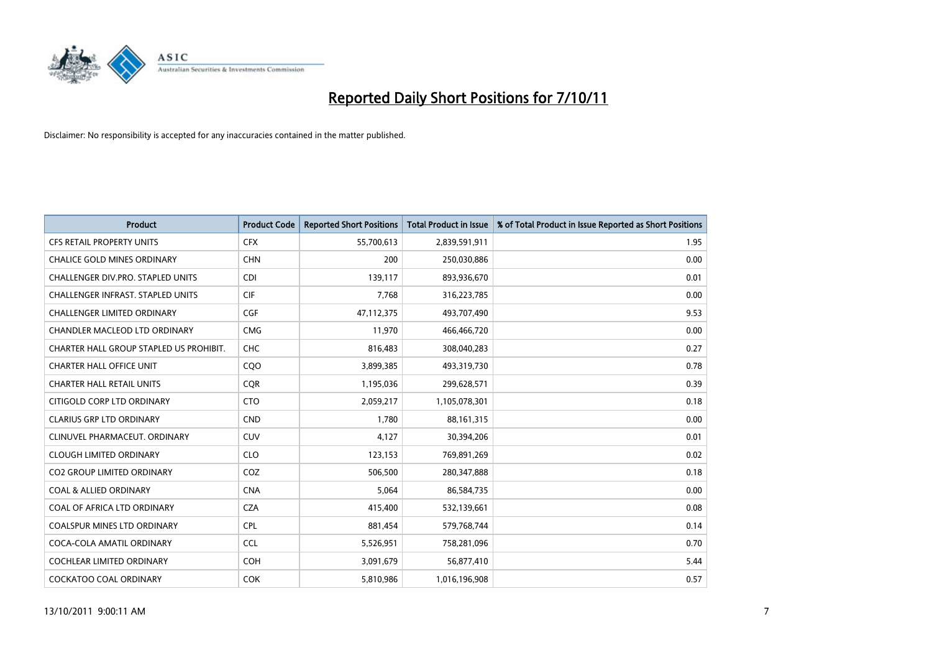

| <b>Product</b>                          | <b>Product Code</b> | <b>Reported Short Positions</b> | <b>Total Product in Issue</b> | % of Total Product in Issue Reported as Short Positions |
|-----------------------------------------|---------------------|---------------------------------|-------------------------------|---------------------------------------------------------|
| <b>CFS RETAIL PROPERTY UNITS</b>        | <b>CFX</b>          | 55,700,613                      | 2,839,591,911                 | 1.95                                                    |
| <b>CHALICE GOLD MINES ORDINARY</b>      | <b>CHN</b>          | 200                             | 250,030,886                   | 0.00                                                    |
| CHALLENGER DIV.PRO. STAPLED UNITS       | <b>CDI</b>          | 139,117                         | 893,936,670                   | 0.01                                                    |
| CHALLENGER INFRAST. STAPLED UNITS       | <b>CIF</b>          | 7,768                           | 316,223,785                   | 0.00                                                    |
| <b>CHALLENGER LIMITED ORDINARY</b>      | <b>CGF</b>          | 47,112,375                      | 493,707,490                   | 9.53                                                    |
| CHANDLER MACLEOD LTD ORDINARY           | <b>CMG</b>          | 11,970                          | 466,466,720                   | 0.00                                                    |
| CHARTER HALL GROUP STAPLED US PROHIBIT. | <b>CHC</b>          | 816,483                         | 308,040,283                   | 0.27                                                    |
| <b>CHARTER HALL OFFICE UNIT</b>         | CQ <sub>O</sub>     | 3,899,385                       | 493,319,730                   | 0.78                                                    |
| <b>CHARTER HALL RETAIL UNITS</b>        | <b>CQR</b>          | 1,195,036                       | 299,628,571                   | 0.39                                                    |
| CITIGOLD CORP LTD ORDINARY              | <b>CTO</b>          | 2,059,217                       | 1,105,078,301                 | 0.18                                                    |
| <b>CLARIUS GRP LTD ORDINARY</b>         | <b>CND</b>          | 1.780                           | 88,161,315                    | 0.00                                                    |
| CLINUVEL PHARMACEUT. ORDINARY           | <b>CUV</b>          | 4,127                           | 30,394,206                    | 0.01                                                    |
| <b>CLOUGH LIMITED ORDINARY</b>          | <b>CLO</b>          | 123,153                         | 769,891,269                   | 0.02                                                    |
| <b>CO2 GROUP LIMITED ORDINARY</b>       | COZ                 | 506.500                         | 280, 347, 888                 | 0.18                                                    |
| <b>COAL &amp; ALLIED ORDINARY</b>       | <b>CNA</b>          | 5,064                           | 86,584,735                    | 0.00                                                    |
| COAL OF AFRICA LTD ORDINARY             | <b>CZA</b>          | 415,400                         | 532,139,661                   | 0.08                                                    |
| <b>COALSPUR MINES LTD ORDINARY</b>      | <b>CPL</b>          | 881,454                         | 579,768,744                   | 0.14                                                    |
| COCA-COLA AMATIL ORDINARY               | <b>CCL</b>          | 5,526,951                       | 758,281,096                   | 0.70                                                    |
| <b>COCHLEAR LIMITED ORDINARY</b>        | <b>COH</b>          | 3,091,679                       | 56,877,410                    | 5.44                                                    |
| <b>COCKATOO COAL ORDINARY</b>           | <b>COK</b>          | 5,810,986                       | 1,016,196,908                 | 0.57                                                    |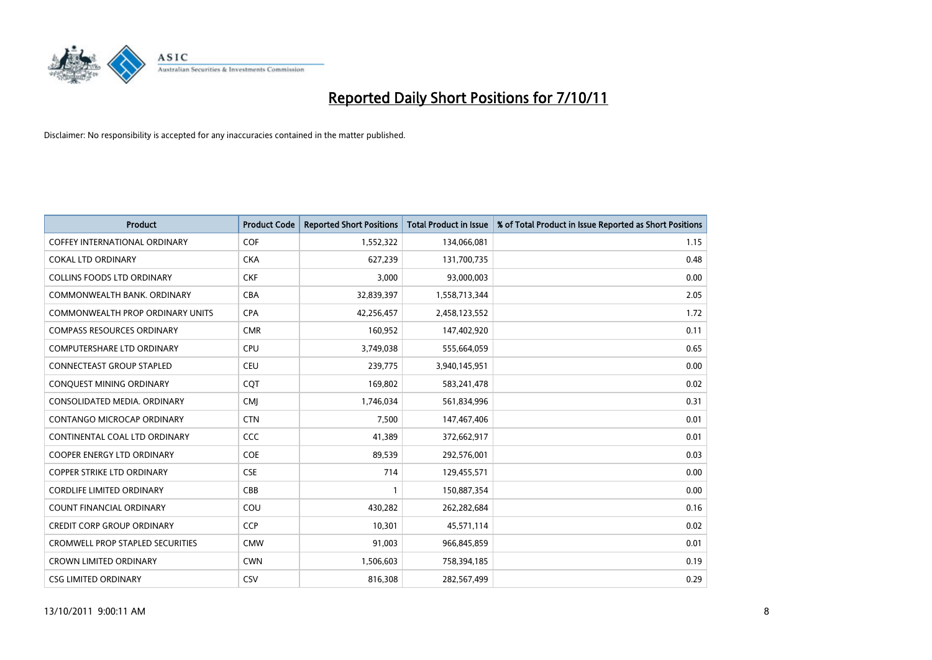

| <b>Product</b>                          | <b>Product Code</b> | <b>Reported Short Positions</b> | <b>Total Product in Issue</b> | % of Total Product in Issue Reported as Short Positions |
|-----------------------------------------|---------------------|---------------------------------|-------------------------------|---------------------------------------------------------|
| <b>COFFEY INTERNATIONAL ORDINARY</b>    | <b>COF</b>          | 1,552,322                       | 134,066,081                   | 1.15                                                    |
| <b>COKAL LTD ORDINARY</b>               | <b>CKA</b>          | 627,239                         | 131,700,735                   | 0.48                                                    |
| <b>COLLINS FOODS LTD ORDINARY</b>       | <b>CKF</b>          | 3,000                           | 93,000,003                    | 0.00                                                    |
| COMMONWEALTH BANK, ORDINARY             | CBA                 | 32,839,397                      | 1,558,713,344                 | 2.05                                                    |
| <b>COMMONWEALTH PROP ORDINARY UNITS</b> | <b>CPA</b>          | 42,256,457                      | 2,458,123,552                 | 1.72                                                    |
| <b>COMPASS RESOURCES ORDINARY</b>       | <b>CMR</b>          | 160,952                         | 147,402,920                   | 0.11                                                    |
| <b>COMPUTERSHARE LTD ORDINARY</b>       | <b>CPU</b>          | 3,749,038                       | 555,664,059                   | 0.65                                                    |
| <b>CONNECTEAST GROUP STAPLED</b>        | <b>CEU</b>          | 239,775                         | 3,940,145,951                 | 0.00                                                    |
| CONQUEST MINING ORDINARY                | COT                 | 169,802                         | 583,241,478                   | 0.02                                                    |
| CONSOLIDATED MEDIA, ORDINARY            | <b>CMI</b>          | 1,746,034                       | 561,834,996                   | 0.31                                                    |
| CONTANGO MICROCAP ORDINARY              | <b>CTN</b>          | 7,500                           | 147,467,406                   | 0.01                                                    |
| CONTINENTAL COAL LTD ORDINARY           | CCC                 | 41,389                          | 372,662,917                   | 0.01                                                    |
| <b>COOPER ENERGY LTD ORDINARY</b>       | COE                 | 89,539                          | 292,576,001                   | 0.03                                                    |
| <b>COPPER STRIKE LTD ORDINARY</b>       | <b>CSE</b>          | 714                             | 129,455,571                   | 0.00                                                    |
| <b>CORDLIFE LIMITED ORDINARY</b>        | CBB                 |                                 | 150,887,354                   | 0.00                                                    |
| COUNT FINANCIAL ORDINARY                | COU                 | 430,282                         | 262,282,684                   | 0.16                                                    |
| <b>CREDIT CORP GROUP ORDINARY</b>       | <b>CCP</b>          | 10,301                          | 45,571,114                    | 0.02                                                    |
| <b>CROMWELL PROP STAPLED SECURITIES</b> | <b>CMW</b>          | 91,003                          | 966,845,859                   | 0.01                                                    |
| <b>CROWN LIMITED ORDINARY</b>           | <b>CWN</b>          | 1,506,603                       | 758,394,185                   | 0.19                                                    |
| <b>CSG LIMITED ORDINARY</b>             | CSV                 | 816,308                         | 282,567,499                   | 0.29                                                    |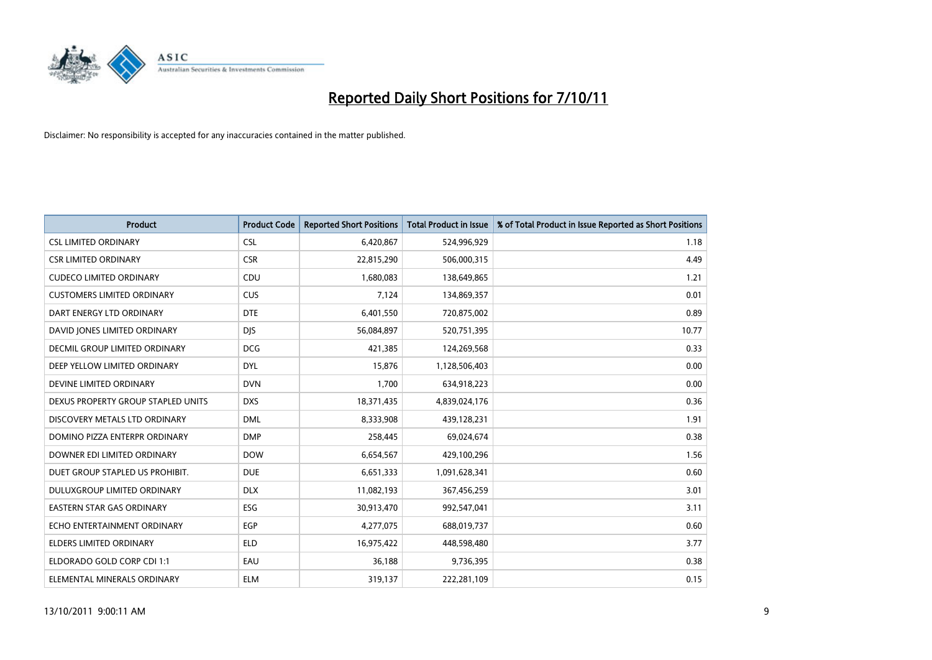

| <b>Product</b>                       | <b>Product Code</b> | <b>Reported Short Positions</b> | <b>Total Product in Issue</b> | % of Total Product in Issue Reported as Short Positions |
|--------------------------------------|---------------------|---------------------------------|-------------------------------|---------------------------------------------------------|
| <b>CSL LIMITED ORDINARY</b>          | <b>CSL</b>          | 6,420,867                       | 524,996,929                   | 1.18                                                    |
| <b>CSR LIMITED ORDINARY</b>          | <b>CSR</b>          | 22,815,290                      | 506,000,315                   | 4.49                                                    |
| <b>CUDECO LIMITED ORDINARY</b>       | CDU                 | 1,680,083                       | 138,649,865                   | 1.21                                                    |
| <b>CUSTOMERS LIMITED ORDINARY</b>    | CUS                 | 7,124                           | 134,869,357                   | 0.01                                                    |
| DART ENERGY LTD ORDINARY             | <b>DTE</b>          | 6,401,550                       | 720,875,002                   | 0.89                                                    |
| DAVID JONES LIMITED ORDINARY         | <b>DJS</b>          | 56,084,897                      | 520,751,395                   | 10.77                                                   |
| <b>DECMIL GROUP LIMITED ORDINARY</b> | <b>DCG</b>          | 421,385                         | 124,269,568                   | 0.33                                                    |
| DEEP YELLOW LIMITED ORDINARY         | <b>DYL</b>          | 15,876                          | 1,128,506,403                 | 0.00                                                    |
| DEVINE LIMITED ORDINARY              | <b>DVN</b>          | 1,700                           | 634,918,223                   | 0.00                                                    |
| DEXUS PROPERTY GROUP STAPLED UNITS   | <b>DXS</b>          | 18,371,435                      | 4,839,024,176                 | 0.36                                                    |
| DISCOVERY METALS LTD ORDINARY        | <b>DML</b>          | 8,333,908                       | 439,128,231                   | 1.91                                                    |
| DOMINO PIZZA ENTERPR ORDINARY        | <b>DMP</b>          | 258,445                         | 69,024,674                    | 0.38                                                    |
| DOWNER EDI LIMITED ORDINARY          | <b>DOW</b>          | 6,654,567                       | 429,100,296                   | 1.56                                                    |
| DUET GROUP STAPLED US PROHIBIT.      | <b>DUE</b>          | 6,651,333                       | 1,091,628,341                 | 0.60                                                    |
| DULUXGROUP LIMITED ORDINARY          | <b>DLX</b>          | 11,082,193                      | 367,456,259                   | 3.01                                                    |
| EASTERN STAR GAS ORDINARY            | <b>ESG</b>          | 30,913,470                      | 992,547,041                   | 3.11                                                    |
| ECHO ENTERTAINMENT ORDINARY          | <b>EGP</b>          | 4,277,075                       | 688,019,737                   | 0.60                                                    |
| ELDERS LIMITED ORDINARY              | <b>ELD</b>          | 16,975,422                      | 448,598,480                   | 3.77                                                    |
| ELDORADO GOLD CORP CDI 1:1           | EAU                 | 36,188                          | 9,736,395                     | 0.38                                                    |
| ELEMENTAL MINERALS ORDINARY          | <b>ELM</b>          | 319,137                         | 222,281,109                   | 0.15                                                    |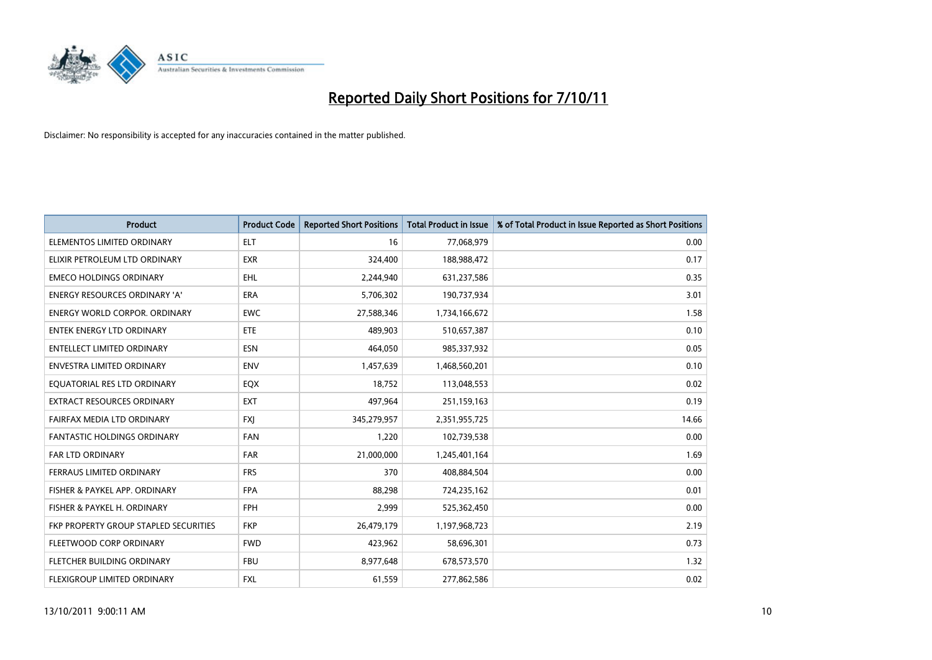

| <b>Product</b>                        | <b>Product Code</b> | <b>Reported Short Positions</b> | <b>Total Product in Issue</b> | % of Total Product in Issue Reported as Short Positions |
|---------------------------------------|---------------------|---------------------------------|-------------------------------|---------------------------------------------------------|
| ELEMENTOS LIMITED ORDINARY            | <b>ELT</b>          | 16                              | 77,068,979                    | 0.00                                                    |
| ELIXIR PETROLEUM LTD ORDINARY         | <b>EXR</b>          | 324,400                         | 188,988,472                   | 0.17                                                    |
| <b>EMECO HOLDINGS ORDINARY</b>        | <b>EHL</b>          | 2,244,940                       | 631,237,586                   | 0.35                                                    |
| ENERGY RESOURCES ORDINARY 'A'         | <b>ERA</b>          | 5,706,302                       | 190,737,934                   | 3.01                                                    |
| <b>ENERGY WORLD CORPOR, ORDINARY</b>  | <b>EWC</b>          | 27,588,346                      | 1,734,166,672                 | 1.58                                                    |
| <b>ENTEK ENERGY LTD ORDINARY</b>      | <b>ETE</b>          | 489.903                         | 510,657,387                   | 0.10                                                    |
| ENTELLECT LIMITED ORDINARY            | <b>ESN</b>          | 464,050                         | 985,337,932                   | 0.05                                                    |
| <b>ENVESTRA LIMITED ORDINARY</b>      | <b>ENV</b>          | 1,457,639                       | 1,468,560,201                 | 0.10                                                    |
| EQUATORIAL RES LTD ORDINARY           | EQX                 | 18,752                          | 113,048,553                   | 0.02                                                    |
| EXTRACT RESOURCES ORDINARY            | <b>EXT</b>          | 497,964                         | 251,159,163                   | 0.19                                                    |
| FAIRFAX MEDIA LTD ORDINARY            | <b>FXI</b>          | 345,279,957                     | 2,351,955,725                 | 14.66                                                   |
| <b>FANTASTIC HOLDINGS ORDINARY</b>    | <b>FAN</b>          | 1,220                           | 102,739,538                   | 0.00                                                    |
| <b>FAR LTD ORDINARY</b>               | <b>FAR</b>          | 21,000,000                      | 1,245,401,164                 | 1.69                                                    |
| <b>FERRAUS LIMITED ORDINARY</b>       | <b>FRS</b>          | 370                             | 408,884,504                   | 0.00                                                    |
| FISHER & PAYKEL APP. ORDINARY         | <b>FPA</b>          | 88,298                          | 724,235,162                   | 0.01                                                    |
| FISHER & PAYKEL H. ORDINARY           | <b>FPH</b>          | 2,999                           | 525,362,450                   | 0.00                                                    |
| FKP PROPERTY GROUP STAPLED SECURITIES | <b>FKP</b>          | 26,479,179                      | 1,197,968,723                 | 2.19                                                    |
| FLEETWOOD CORP ORDINARY               | <b>FWD</b>          | 423,962                         | 58,696,301                    | 0.73                                                    |
| FLETCHER BUILDING ORDINARY            | <b>FBU</b>          | 8,977,648                       | 678,573,570                   | 1.32                                                    |
| FLEXIGROUP LIMITED ORDINARY           | <b>FXL</b>          | 61,559                          | 277,862,586                   | 0.02                                                    |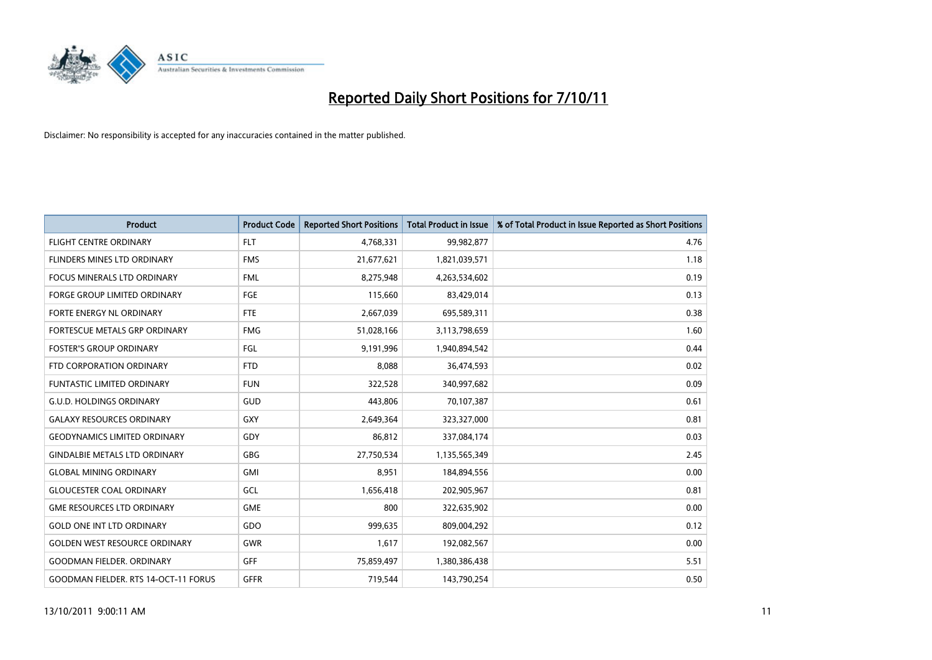

| <b>Product</b>                              | <b>Product Code</b> | <b>Reported Short Positions</b> | <b>Total Product in Issue</b> | % of Total Product in Issue Reported as Short Positions |
|---------------------------------------------|---------------------|---------------------------------|-------------------------------|---------------------------------------------------------|
| <b>FLIGHT CENTRE ORDINARY</b>               | <b>FLT</b>          | 4,768,331                       | 99,982,877                    | 4.76                                                    |
| <b>FLINDERS MINES LTD ORDINARY</b>          | <b>FMS</b>          | 21,677,621                      | 1,821,039,571                 | 1.18                                                    |
| <b>FOCUS MINERALS LTD ORDINARY</b>          | <b>FML</b>          | 8,275,948                       | 4,263,534,602                 | 0.19                                                    |
| FORGE GROUP LIMITED ORDINARY                | FGE                 | 115,660                         | 83,429,014                    | 0.13                                                    |
| <b>FORTE ENERGY NL ORDINARY</b>             | <b>FTE</b>          | 2,667,039                       | 695,589,311                   | 0.38                                                    |
| FORTESCUE METALS GRP ORDINARY               | <b>FMG</b>          | 51,028,166                      | 3,113,798,659                 | 1.60                                                    |
| <b>FOSTER'S GROUP ORDINARY</b>              | FGL                 | 9.191.996                       | 1,940,894,542                 | 0.44                                                    |
| FTD CORPORATION ORDINARY                    | <b>FTD</b>          | 8,088                           | 36,474,593                    | 0.02                                                    |
| FUNTASTIC LIMITED ORDINARY                  | <b>FUN</b>          | 322,528                         | 340,997,682                   | 0.09                                                    |
| <b>G.U.D. HOLDINGS ORDINARY</b>             | <b>GUD</b>          | 443,806                         | 70,107,387                    | 0.61                                                    |
| <b>GALAXY RESOURCES ORDINARY</b>            | GXY                 | 2,649,364                       | 323,327,000                   | 0.81                                                    |
| <b>GEODYNAMICS LIMITED ORDINARY</b>         | GDY                 | 86,812                          | 337,084,174                   | 0.03                                                    |
| <b>GINDALBIE METALS LTD ORDINARY</b>        | <b>GBG</b>          | 27,750,534                      | 1,135,565,349                 | 2.45                                                    |
| <b>GLOBAL MINING ORDINARY</b>               | GMI                 | 8.951                           | 184,894,556                   | 0.00                                                    |
| <b>GLOUCESTER COAL ORDINARY</b>             | GCL                 | 1,656,418                       | 202,905,967                   | 0.81                                                    |
| <b>GME RESOURCES LTD ORDINARY</b>           | <b>GME</b>          | 800                             | 322,635,902                   | 0.00                                                    |
| <b>GOLD ONE INT LTD ORDINARY</b>            | GDO                 | 999,635                         | 809,004,292                   | 0.12                                                    |
| <b>GOLDEN WEST RESOURCE ORDINARY</b>        | <b>GWR</b>          | 1,617                           | 192,082,567                   | 0.00                                                    |
| <b>GOODMAN FIELDER, ORDINARY</b>            | <b>GFF</b>          | 75,859,497                      | 1,380,386,438                 | 5.51                                                    |
| <b>GOODMAN FIELDER. RTS 14-OCT-11 FORUS</b> | <b>GFFR</b>         | 719.544                         | 143,790,254                   | 0.50                                                    |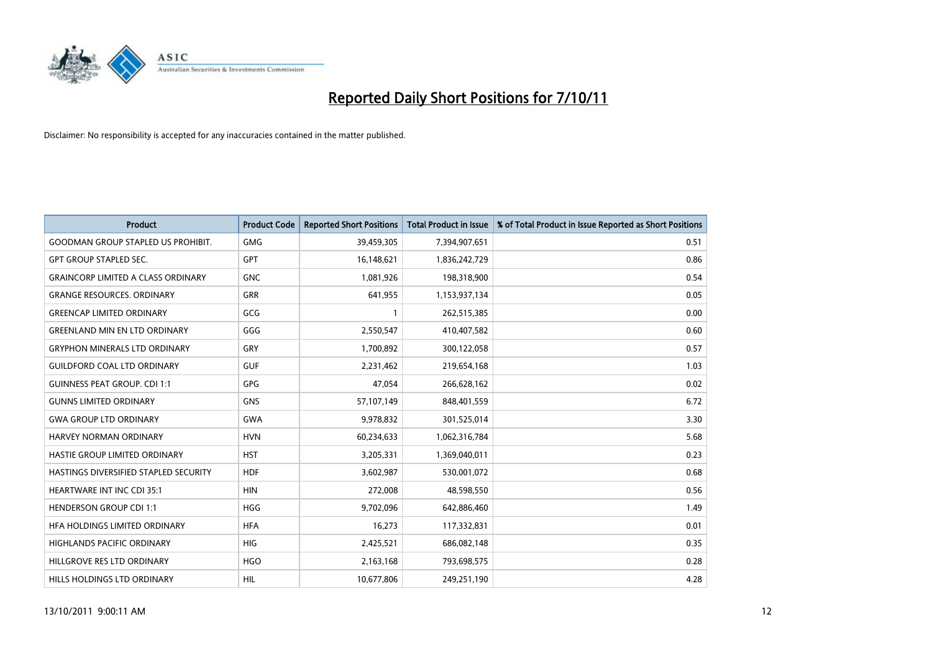

| <b>Product</b>                            | <b>Product Code</b> | <b>Reported Short Positions</b> | <b>Total Product in Issue</b> | % of Total Product in Issue Reported as Short Positions |
|-------------------------------------------|---------------------|---------------------------------|-------------------------------|---------------------------------------------------------|
| <b>GOODMAN GROUP STAPLED US PROHIBIT.</b> | <b>GMG</b>          | 39,459,305                      | 7,394,907,651                 | 0.51                                                    |
| <b>GPT GROUP STAPLED SEC.</b>             | <b>GPT</b>          | 16,148,621                      | 1,836,242,729                 | 0.86                                                    |
| <b>GRAINCORP LIMITED A CLASS ORDINARY</b> | <b>GNC</b>          | 1,081,926                       | 198,318,900                   | 0.54                                                    |
| <b>GRANGE RESOURCES. ORDINARY</b>         | <b>GRR</b>          | 641,955                         | 1,153,937,134                 | 0.05                                                    |
| <b>GREENCAP LIMITED ORDINARY</b>          | GCG                 |                                 | 262,515,385                   | 0.00                                                    |
| <b>GREENLAND MIN EN LTD ORDINARY</b>      | GGG                 | 2,550,547                       | 410,407,582                   | 0.60                                                    |
| <b>GRYPHON MINERALS LTD ORDINARY</b>      | GRY                 | 1,700,892                       | 300,122,058                   | 0.57                                                    |
| <b>GUILDFORD COAL LTD ORDINARY</b>        | <b>GUF</b>          | 2,231,462                       | 219,654,168                   | 1.03                                                    |
| <b>GUINNESS PEAT GROUP. CDI 1:1</b>       | <b>GPG</b>          | 47,054                          | 266,628,162                   | 0.02                                                    |
| <b>GUNNS LIMITED ORDINARY</b>             | <b>GNS</b>          | 57,107,149                      | 848,401,559                   | 6.72                                                    |
| <b>GWA GROUP LTD ORDINARY</b>             | <b>GWA</b>          | 9,978,832                       | 301,525,014                   | 3.30                                                    |
| HARVEY NORMAN ORDINARY                    | <b>HVN</b>          | 60,234,633                      | 1,062,316,784                 | 5.68                                                    |
| HASTIE GROUP LIMITED ORDINARY             | <b>HST</b>          | 3,205,331                       | 1,369,040,011                 | 0.23                                                    |
| HASTINGS DIVERSIFIED STAPLED SECURITY     | <b>HDF</b>          | 3,602,987                       | 530,001,072                   | 0.68                                                    |
| <b>HEARTWARE INT INC CDI 35:1</b>         | <b>HIN</b>          | 272,008                         | 48,598,550                    | 0.56                                                    |
| <b>HENDERSON GROUP CDI 1:1</b>            | <b>HGG</b>          | 9,702,096                       | 642,886,460                   | 1.49                                                    |
| HFA HOLDINGS LIMITED ORDINARY             | <b>HFA</b>          | 16,273                          | 117,332,831                   | 0.01                                                    |
| HIGHLANDS PACIFIC ORDINARY                | <b>HIG</b>          | 2,425,521                       | 686,082,148                   | 0.35                                                    |
| HILLGROVE RES LTD ORDINARY                | <b>HGO</b>          | 2,163,168                       | 793,698,575                   | 0.28                                                    |
| HILLS HOLDINGS LTD ORDINARY               | <b>HIL</b>          | 10,677,806                      | 249,251,190                   | 4.28                                                    |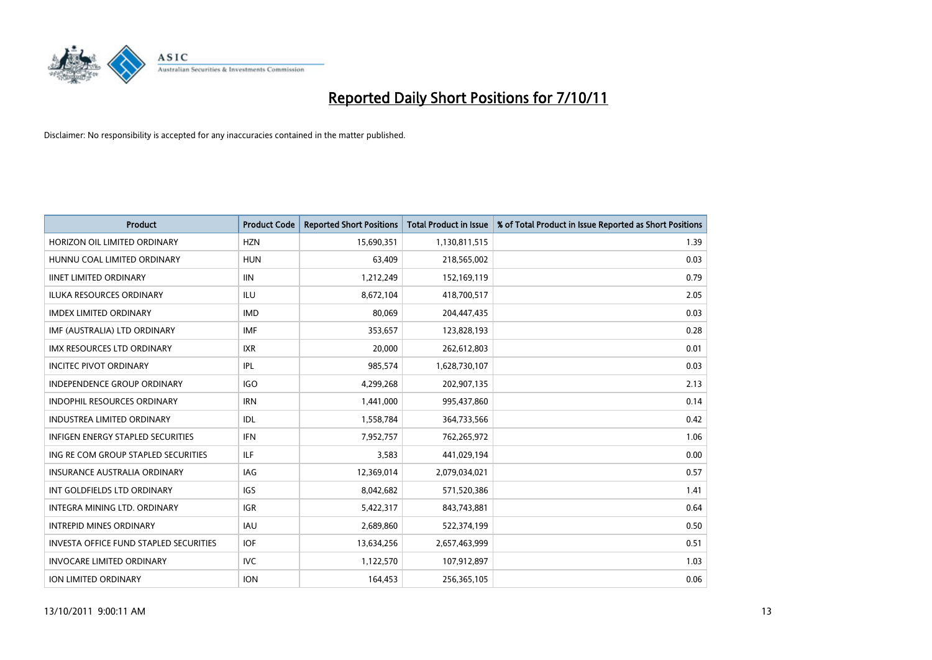

| <b>Product</b>                                | <b>Product Code</b> | <b>Reported Short Positions</b> | <b>Total Product in Issue</b> | % of Total Product in Issue Reported as Short Positions |
|-----------------------------------------------|---------------------|---------------------------------|-------------------------------|---------------------------------------------------------|
| HORIZON OIL LIMITED ORDINARY                  | <b>HZN</b>          | 15,690,351                      | 1,130,811,515                 | 1.39                                                    |
| HUNNU COAL LIMITED ORDINARY                   | <b>HUN</b>          | 63,409                          | 218,565,002                   | 0.03                                                    |
| <b>IINET LIMITED ORDINARY</b>                 | <b>IIN</b>          | 1,212,249                       | 152,169,119                   | 0.79                                                    |
| ILUKA RESOURCES ORDINARY                      | ILU                 | 8,672,104                       | 418,700,517                   | 2.05                                                    |
| <b>IMDEX LIMITED ORDINARY</b>                 | <b>IMD</b>          | 80,069                          | 204,447,435                   | 0.03                                                    |
| IMF (AUSTRALIA) LTD ORDINARY                  | <b>IMF</b>          | 353,657                         | 123,828,193                   | 0.28                                                    |
| <b>IMX RESOURCES LTD ORDINARY</b>             | <b>IXR</b>          | 20,000                          | 262,612,803                   | 0.01                                                    |
| <b>INCITEC PIVOT ORDINARY</b>                 | IPL                 | 985,574                         | 1,628,730,107                 | 0.03                                                    |
| INDEPENDENCE GROUP ORDINARY                   | <b>IGO</b>          | 4,299,268                       | 202,907,135                   | 2.13                                                    |
| <b>INDOPHIL RESOURCES ORDINARY</b>            | <b>IRN</b>          | 1,441,000                       | 995,437,860                   | 0.14                                                    |
| <b>INDUSTREA LIMITED ORDINARY</b>             | IDL                 | 1,558,784                       | 364,733,566                   | 0.42                                                    |
| <b>INFIGEN ENERGY STAPLED SECURITIES</b>      | <b>IFN</b>          | 7,952,757                       | 762,265,972                   | 1.06                                                    |
| ING RE COM GROUP STAPLED SECURITIES           | ILF.                | 3,583                           | 441,029,194                   | 0.00                                                    |
| <b>INSURANCE AUSTRALIA ORDINARY</b>           | IAG                 | 12,369,014                      | 2,079,034,021                 | 0.57                                                    |
| INT GOLDFIELDS LTD ORDINARY                   | <b>IGS</b>          | 8,042,682                       | 571,520,386                   | 1.41                                                    |
| <b>INTEGRA MINING LTD, ORDINARY</b>           | <b>IGR</b>          | 5,422,317                       | 843,743,881                   | 0.64                                                    |
| <b>INTREPID MINES ORDINARY</b>                | <b>IAU</b>          | 2,689,860                       | 522,374,199                   | 0.50                                                    |
| <b>INVESTA OFFICE FUND STAPLED SECURITIES</b> | <b>IOF</b>          | 13,634,256                      | 2,657,463,999                 | 0.51                                                    |
| <b>INVOCARE LIMITED ORDINARY</b>              | IVC                 | 1,122,570                       | 107,912,897                   | 1.03                                                    |
| <b>ION LIMITED ORDINARY</b>                   | <b>ION</b>          | 164,453                         | 256,365,105                   | 0.06                                                    |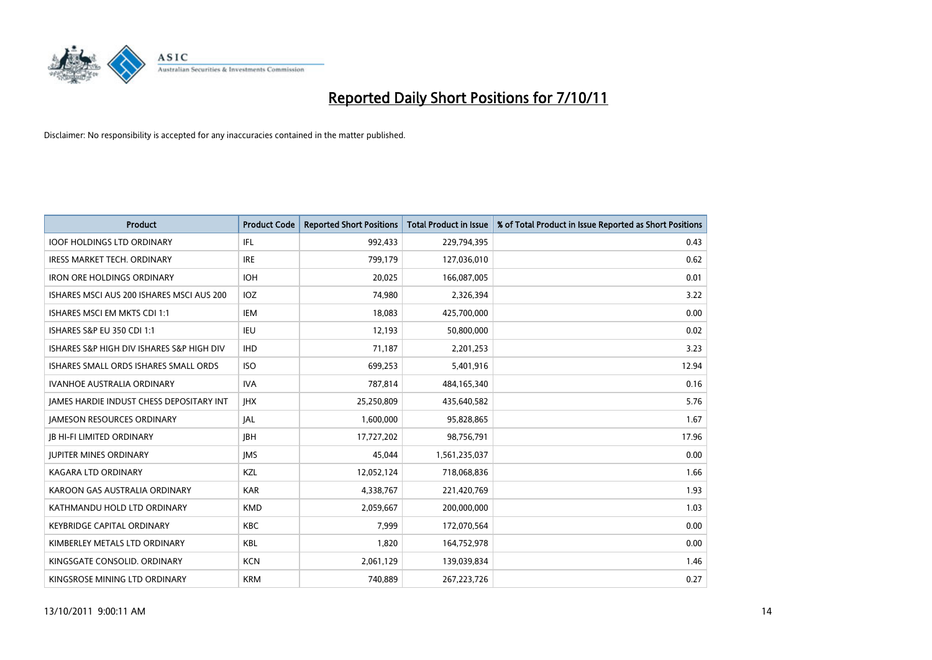

| <b>Product</b>                                  | <b>Product Code</b> | <b>Reported Short Positions</b> | <b>Total Product in Issue</b> | % of Total Product in Issue Reported as Short Positions |
|-------------------------------------------------|---------------------|---------------------------------|-------------------------------|---------------------------------------------------------|
| <b>IOOF HOLDINGS LTD ORDINARY</b>               | IFL                 | 992,433                         | 229,794,395                   | 0.43                                                    |
| <b>IRESS MARKET TECH. ORDINARY</b>              | <b>IRE</b>          | 799,179                         | 127,036,010                   | 0.62                                                    |
| <b>IRON ORE HOLDINGS ORDINARY</b>               | <b>IOH</b>          | 20,025                          | 166,087,005                   | 0.01                                                    |
| ISHARES MSCI AUS 200 ISHARES MSCI AUS 200       | <b>IOZ</b>          | 74,980                          | 2,326,394                     | 3.22                                                    |
| ISHARES MSCI EM MKTS CDI 1:1                    | <b>IEM</b>          | 18,083                          | 425,700,000                   | 0.00                                                    |
| <b>ISHARES S&amp;P EU 350 CDI 1:1</b>           | <b>IEU</b>          | 12,193                          | 50,800,000                    | 0.02                                                    |
| ISHARES S&P HIGH DIV ISHARES S&P HIGH DIV       | <b>IHD</b>          | 71,187                          | 2,201,253                     | 3.23                                                    |
| ISHARES SMALL ORDS ISHARES SMALL ORDS           | <b>ISO</b>          | 699,253                         | 5,401,916                     | 12.94                                                   |
| <b>IVANHOE AUSTRALIA ORDINARY</b>               | <b>IVA</b>          | 787,814                         | 484,165,340                   | 0.16                                                    |
| <b>JAMES HARDIE INDUST CHESS DEPOSITARY INT</b> | <b>IHX</b>          | 25,250,809                      | 435,640,582                   | 5.76                                                    |
| <b>JAMESON RESOURCES ORDINARY</b>               | <b>JAL</b>          | 1,600,000                       | 95,828,865                    | 1.67                                                    |
| <b>JB HI-FI LIMITED ORDINARY</b>                | <b>IBH</b>          | 17,727,202                      | 98,756,791                    | 17.96                                                   |
| <b>JUPITER MINES ORDINARY</b>                   | <b>IMS</b>          | 45,044                          | 1,561,235,037                 | 0.00                                                    |
| <b>KAGARA LTD ORDINARY</b>                      | <b>KZL</b>          | 12,052,124                      | 718,068,836                   | 1.66                                                    |
| KAROON GAS AUSTRALIA ORDINARY                   | <b>KAR</b>          | 4,338,767                       | 221,420,769                   | 1.93                                                    |
| KATHMANDU HOLD LTD ORDINARY                     | <b>KMD</b>          | 2,059,667                       | 200,000,000                   | 1.03                                                    |
| <b>KEYBRIDGE CAPITAL ORDINARY</b>               | KBC                 | 7,999                           | 172,070,564                   | 0.00                                                    |
| KIMBERLEY METALS LTD ORDINARY                   | <b>KBL</b>          | 1,820                           | 164,752,978                   | 0.00                                                    |
| KINGSGATE CONSOLID. ORDINARY                    | <b>KCN</b>          | 2,061,129                       | 139,039,834                   | 1.46                                                    |
| KINGSROSE MINING LTD ORDINARY                   | <b>KRM</b>          | 740,889                         | 267, 223, 726                 | 0.27                                                    |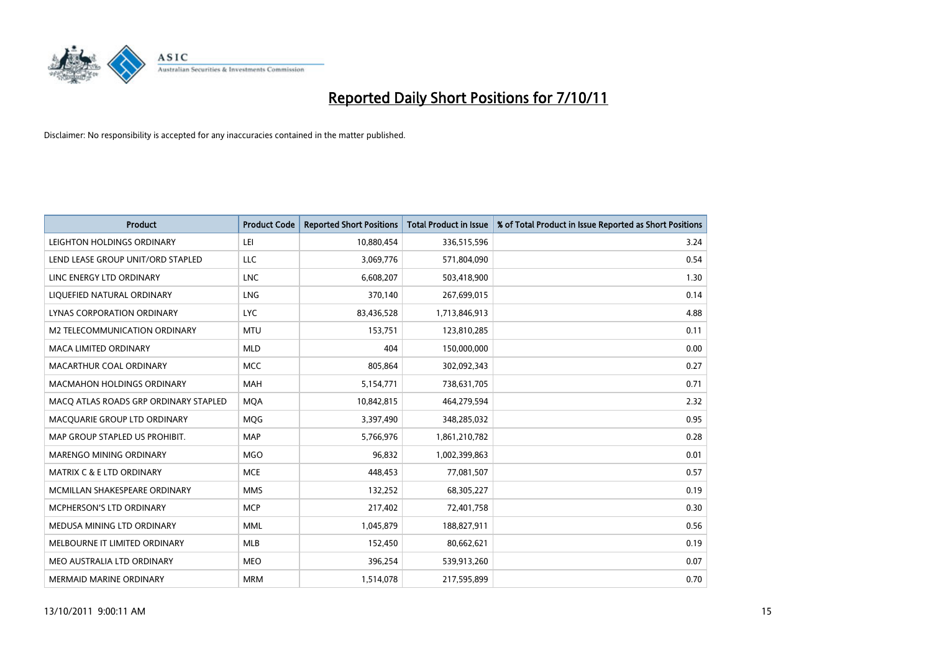

| <b>Product</b>                        | <b>Product Code</b> | <b>Reported Short Positions</b> | <b>Total Product in Issue</b> | % of Total Product in Issue Reported as Short Positions |
|---------------------------------------|---------------------|---------------------------------|-------------------------------|---------------------------------------------------------|
| LEIGHTON HOLDINGS ORDINARY            | LEI                 | 10,880,454                      | 336,515,596                   | 3.24                                                    |
| LEND LEASE GROUP UNIT/ORD STAPLED     | LLC                 | 3,069,776                       | 571,804,090                   | 0.54                                                    |
| LINC ENERGY LTD ORDINARY              | <b>LNC</b>          | 6,608,207                       | 503,418,900                   | 1.30                                                    |
| LIQUEFIED NATURAL ORDINARY            | <b>LNG</b>          | 370,140                         | 267,699,015                   | 0.14                                                    |
| LYNAS CORPORATION ORDINARY            | <b>LYC</b>          | 83,436,528                      | 1,713,846,913                 | 4.88                                                    |
| M2 TELECOMMUNICATION ORDINARY         | <b>MTU</b>          | 153,751                         | 123,810,285                   | 0.11                                                    |
| <b>MACA LIMITED ORDINARY</b>          | <b>MLD</b>          | 404                             | 150,000,000                   | 0.00                                                    |
| MACARTHUR COAL ORDINARY               | <b>MCC</b>          | 805,864                         | 302,092,343                   | 0.27                                                    |
| <b>MACMAHON HOLDINGS ORDINARY</b>     | <b>MAH</b>          | 5,154,771                       | 738,631,705                   | 0.71                                                    |
| MACO ATLAS ROADS GRP ORDINARY STAPLED | <b>MOA</b>          | 10,842,815                      | 464,279,594                   | 2.32                                                    |
| MACQUARIE GROUP LTD ORDINARY          | <b>MOG</b>          | 3,397,490                       | 348,285,032                   | 0.95                                                    |
| MAP GROUP STAPLED US PROHIBIT.        | <b>MAP</b>          | 5,766,976                       | 1,861,210,782                 | 0.28                                                    |
| MARENGO MINING ORDINARY               | <b>MGO</b>          | 96,832                          | 1,002,399,863                 | 0.01                                                    |
| MATRIX C & E LTD ORDINARY             | <b>MCE</b>          | 448,453                         | 77,081,507                    | 0.57                                                    |
| MCMILLAN SHAKESPEARE ORDINARY         | <b>MMS</b>          | 132,252                         | 68,305,227                    | 0.19                                                    |
| MCPHERSON'S LTD ORDINARY              | <b>MCP</b>          | 217,402                         | 72,401,758                    | 0.30                                                    |
| MEDUSA MINING LTD ORDINARY            | <b>MML</b>          | 1,045,879                       | 188,827,911                   | 0.56                                                    |
| MELBOURNE IT LIMITED ORDINARY         | <b>MLB</b>          | 152,450                         | 80,662,621                    | 0.19                                                    |
| MEO AUSTRALIA LTD ORDINARY            | <b>MEO</b>          | 396,254                         | 539,913,260                   | 0.07                                                    |
| MERMAID MARINE ORDINARY               | <b>MRM</b>          | 1,514,078                       | 217,595,899                   | 0.70                                                    |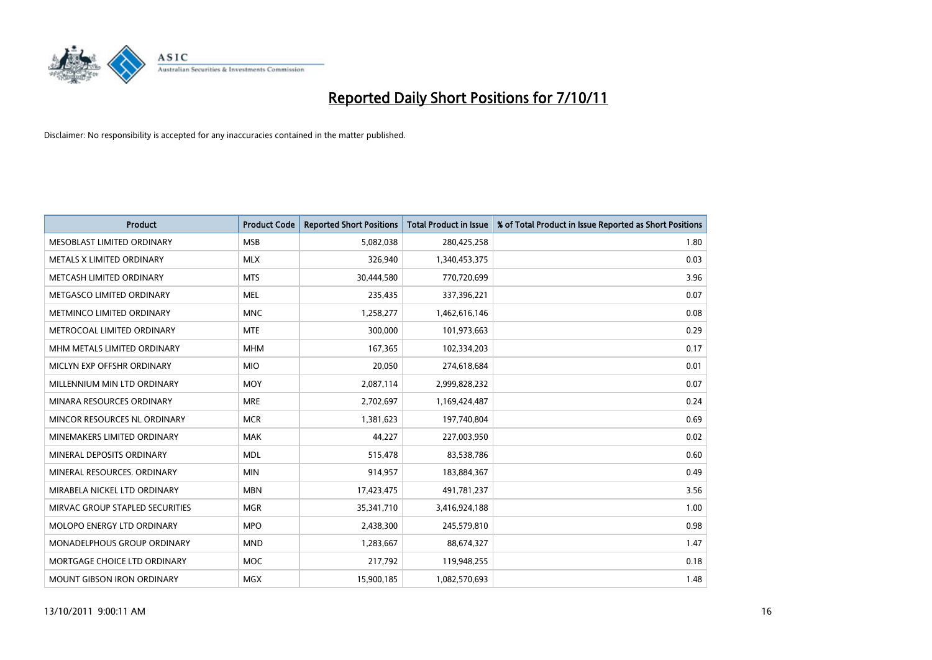

| <b>Product</b>                  | <b>Product Code</b> | <b>Reported Short Positions</b> | <b>Total Product in Issue</b> | % of Total Product in Issue Reported as Short Positions |
|---------------------------------|---------------------|---------------------------------|-------------------------------|---------------------------------------------------------|
| MESOBLAST LIMITED ORDINARY      | <b>MSB</b>          | 5,082,038                       | 280,425,258                   | 1.80                                                    |
| METALS X LIMITED ORDINARY       | <b>MLX</b>          | 326,940                         | 1,340,453,375                 | 0.03                                                    |
| METCASH LIMITED ORDINARY        | <b>MTS</b>          | 30,444,580                      | 770,720,699                   | 3.96                                                    |
| METGASCO LIMITED ORDINARY       | <b>MEL</b>          | 235,435                         | 337,396,221                   | 0.07                                                    |
| METMINCO LIMITED ORDINARY       | <b>MNC</b>          | 1,258,277                       | 1,462,616,146                 | 0.08                                                    |
| METROCOAL LIMITED ORDINARY      | <b>MTE</b>          | 300,000                         | 101,973,663                   | 0.29                                                    |
| MHM METALS LIMITED ORDINARY     | <b>MHM</b>          | 167,365                         | 102,334,203                   | 0.17                                                    |
| MICLYN EXP OFFSHR ORDINARY      | <b>MIO</b>          | 20,050                          | 274,618,684                   | 0.01                                                    |
| MILLENNIUM MIN LTD ORDINARY     | <b>MOY</b>          | 2,087,114                       | 2,999,828,232                 | 0.07                                                    |
| MINARA RESOURCES ORDINARY       | <b>MRE</b>          | 2,702,697                       | 1,169,424,487                 | 0.24                                                    |
| MINCOR RESOURCES NL ORDINARY    | <b>MCR</b>          | 1,381,623                       | 197,740,804                   | 0.69                                                    |
| MINEMAKERS LIMITED ORDINARY     | <b>MAK</b>          | 44,227                          | 227,003,950                   | 0.02                                                    |
| MINERAL DEPOSITS ORDINARY       | <b>MDL</b>          | 515,478                         | 83,538,786                    | 0.60                                                    |
| MINERAL RESOURCES, ORDINARY     | <b>MIN</b>          | 914,957                         | 183,884,367                   | 0.49                                                    |
| MIRABELA NICKEL LTD ORDINARY    | <b>MBN</b>          | 17,423,475                      | 491,781,237                   | 3.56                                                    |
| MIRVAC GROUP STAPLED SECURITIES | <b>MGR</b>          | 35,341,710                      | 3,416,924,188                 | 1.00                                                    |
| MOLOPO ENERGY LTD ORDINARY      | <b>MPO</b>          | 2,438,300                       | 245,579,810                   | 0.98                                                    |
| MONADELPHOUS GROUP ORDINARY     | <b>MND</b>          | 1,283,667                       | 88,674,327                    | 1.47                                                    |
| MORTGAGE CHOICE LTD ORDINARY    | MOC                 | 217,792                         | 119,948,255                   | 0.18                                                    |
| MOUNT GIBSON IRON ORDINARY      | <b>MGX</b>          | 15,900,185                      | 1,082,570,693                 | 1.48                                                    |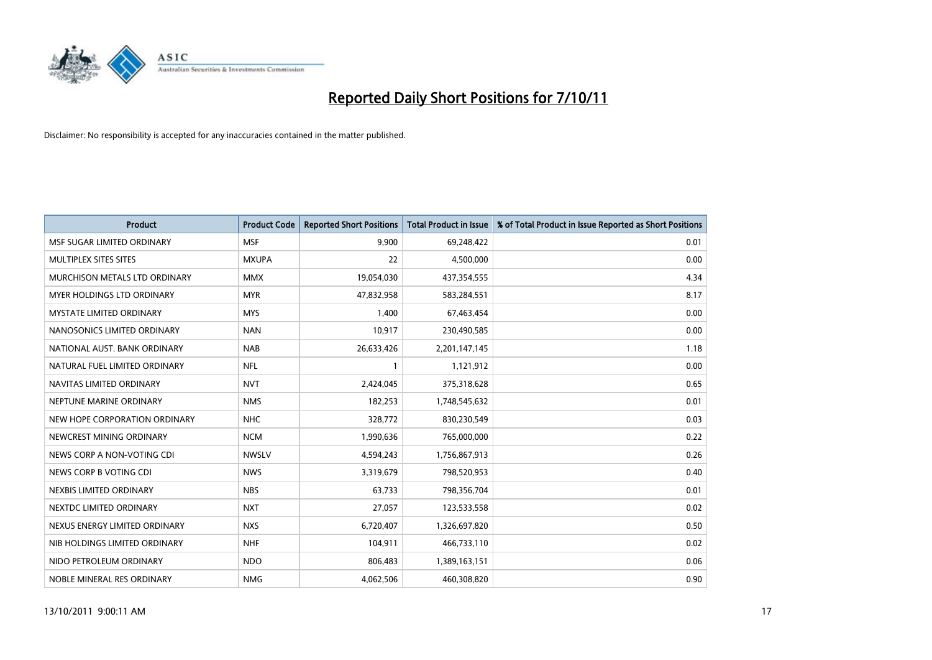

| <b>Product</b>                  | <b>Product Code</b> | <b>Reported Short Positions</b> | <b>Total Product in Issue</b> | % of Total Product in Issue Reported as Short Positions |
|---------------------------------|---------------------|---------------------------------|-------------------------------|---------------------------------------------------------|
| MSF SUGAR LIMITED ORDINARY      | <b>MSF</b>          | 9,900                           | 69,248,422                    | 0.01                                                    |
| MULTIPLEX SITES SITES           | <b>MXUPA</b>        | 22                              | 4,500,000                     | 0.00                                                    |
| MURCHISON METALS LTD ORDINARY   | <b>MMX</b>          | 19,054,030                      | 437,354,555                   | 4.34                                                    |
| MYER HOLDINGS LTD ORDINARY      | <b>MYR</b>          | 47,832,958                      | 583,284,551                   | 8.17                                                    |
| <b>MYSTATE LIMITED ORDINARY</b> | <b>MYS</b>          | 1,400                           | 67,463,454                    | 0.00                                                    |
| NANOSONICS LIMITED ORDINARY     | <b>NAN</b>          | 10,917                          | 230,490,585                   | 0.00                                                    |
| NATIONAL AUST, BANK ORDINARY    | <b>NAB</b>          | 26,633,426                      | 2,201,147,145                 | 1.18                                                    |
| NATURAL FUEL LIMITED ORDINARY   | <b>NFL</b>          |                                 | 1,121,912                     | 0.00                                                    |
| NAVITAS LIMITED ORDINARY        | <b>NVT</b>          | 2,424,045                       | 375,318,628                   | 0.65                                                    |
| NEPTUNE MARINE ORDINARY         | <b>NMS</b>          | 182,253                         | 1,748,545,632                 | 0.01                                                    |
| NEW HOPE CORPORATION ORDINARY   | <b>NHC</b>          | 328,772                         | 830,230,549                   | 0.03                                                    |
| NEWCREST MINING ORDINARY        | <b>NCM</b>          | 1,990,636                       | 765,000,000                   | 0.22                                                    |
| NEWS CORP A NON-VOTING CDI      | <b>NWSLV</b>        | 4,594,243                       | 1,756,867,913                 | 0.26                                                    |
| NEWS CORP B VOTING CDI          | <b>NWS</b>          | 3,319,679                       | 798,520,953                   | 0.40                                                    |
| NEXBIS LIMITED ORDINARY         | <b>NBS</b>          | 63,733                          | 798,356,704                   | 0.01                                                    |
| NEXTDC LIMITED ORDINARY         | <b>NXT</b>          | 27,057                          | 123,533,558                   | 0.02                                                    |
| NEXUS ENERGY LIMITED ORDINARY   | <b>NXS</b>          | 6,720,407                       | 1,326,697,820                 | 0.50                                                    |
| NIB HOLDINGS LIMITED ORDINARY   | <b>NHF</b>          | 104,911                         | 466,733,110                   | 0.02                                                    |
| NIDO PETROLEUM ORDINARY         | <b>NDO</b>          | 806,483                         | 1,389,163,151                 | 0.06                                                    |
| NOBLE MINERAL RES ORDINARY      | <b>NMG</b>          | 4,062,506                       | 460,308,820                   | 0.90                                                    |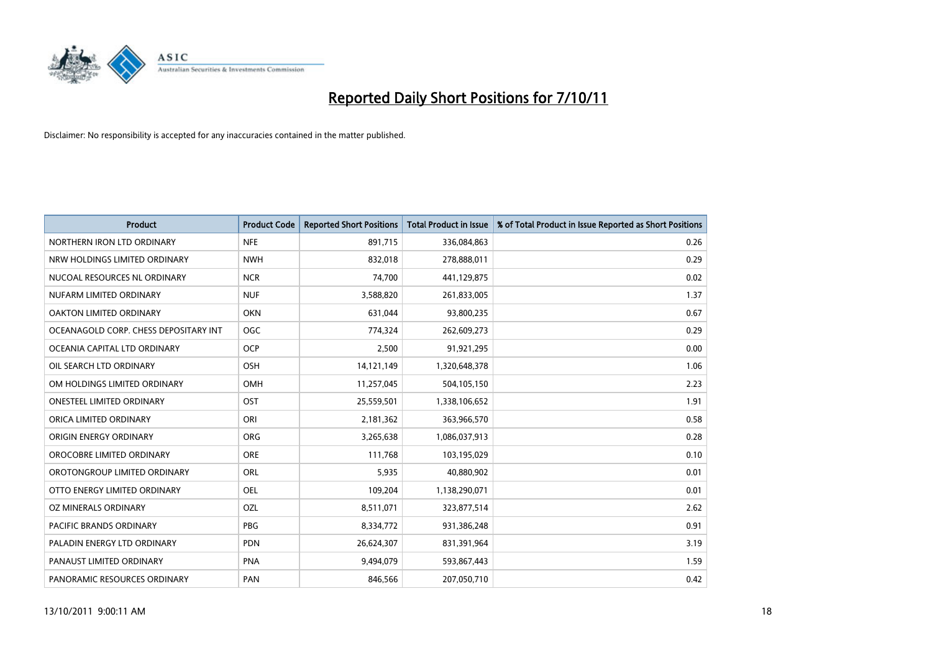

| <b>Product</b>                        | <b>Product Code</b> | <b>Reported Short Positions</b> | <b>Total Product in Issue</b> | % of Total Product in Issue Reported as Short Positions |
|---------------------------------------|---------------------|---------------------------------|-------------------------------|---------------------------------------------------------|
| NORTHERN IRON LTD ORDINARY            | <b>NFE</b>          | 891,715                         | 336,084,863                   | 0.26                                                    |
| NRW HOLDINGS LIMITED ORDINARY         | <b>NWH</b>          | 832,018                         | 278,888,011                   | 0.29                                                    |
| NUCOAL RESOURCES NL ORDINARY          | <b>NCR</b>          | 74,700                          | 441,129,875                   | 0.02                                                    |
| NUFARM LIMITED ORDINARY               | <b>NUF</b>          | 3,588,820                       | 261,833,005                   | 1.37                                                    |
| OAKTON LIMITED ORDINARY               | <b>OKN</b>          | 631,044                         | 93,800,235                    | 0.67                                                    |
| OCEANAGOLD CORP. CHESS DEPOSITARY INT | <b>OGC</b>          | 774,324                         | 262,609,273                   | 0.29                                                    |
| OCEANIA CAPITAL LTD ORDINARY          | <b>OCP</b>          | 2,500                           | 91,921,295                    | 0.00                                                    |
| OIL SEARCH LTD ORDINARY               | <b>OSH</b>          | 14,121,149                      | 1,320,648,378                 | 1.06                                                    |
| OM HOLDINGS LIMITED ORDINARY          | <b>OMH</b>          | 11,257,045                      | 504,105,150                   | 2.23                                                    |
| <b>ONESTEEL LIMITED ORDINARY</b>      | OST                 | 25,559,501                      | 1,338,106,652                 | 1.91                                                    |
| ORICA LIMITED ORDINARY                | ORI                 | 2,181,362                       | 363,966,570                   | 0.58                                                    |
| ORIGIN ENERGY ORDINARY                | <b>ORG</b>          | 3,265,638                       | 1,086,037,913                 | 0.28                                                    |
| OROCOBRE LIMITED ORDINARY             | <b>ORE</b>          | 111,768                         | 103,195,029                   | 0.10                                                    |
| OROTONGROUP LIMITED ORDINARY          | ORL                 | 5,935                           | 40,880,902                    | 0.01                                                    |
| OTTO ENERGY LIMITED ORDINARY          | OEL                 | 109,204                         | 1,138,290,071                 | 0.01                                                    |
| OZ MINERALS ORDINARY                  | OZL                 | 8,511,071                       | 323,877,514                   | 2.62                                                    |
| PACIFIC BRANDS ORDINARY               | <b>PBG</b>          | 8,334,772                       | 931,386,248                   | 0.91                                                    |
| PALADIN ENERGY LTD ORDINARY           | <b>PDN</b>          | 26,624,307                      | 831,391,964                   | 3.19                                                    |
| PANAUST LIMITED ORDINARY              | <b>PNA</b>          | 9,494,079                       | 593,867,443                   | 1.59                                                    |
| PANORAMIC RESOURCES ORDINARY          | PAN                 | 846,566                         | 207,050,710                   | 0.42                                                    |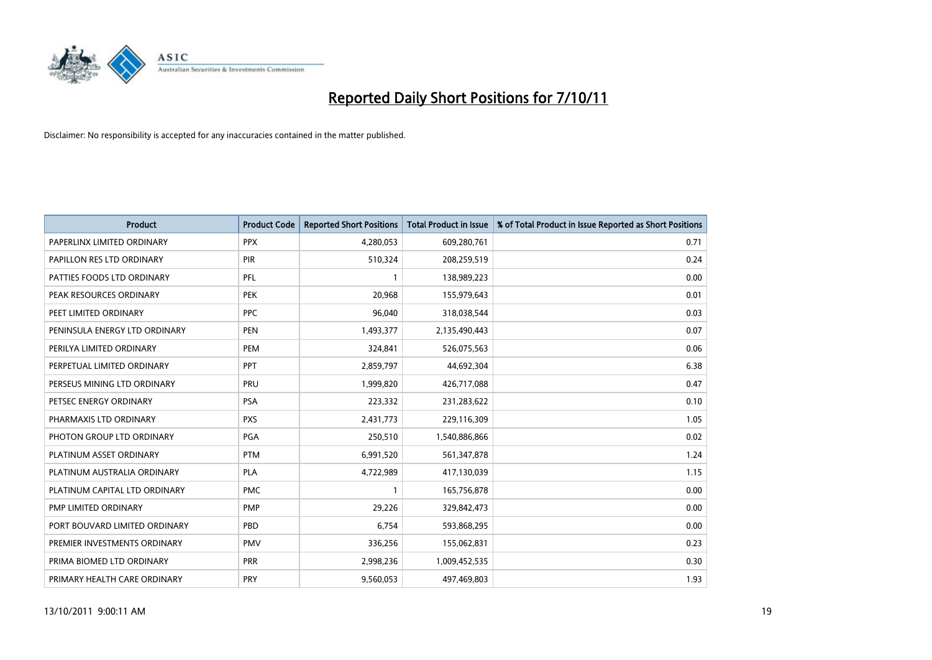

| <b>Product</b>                | <b>Product Code</b> | <b>Reported Short Positions</b> | <b>Total Product in Issue</b> | % of Total Product in Issue Reported as Short Positions |
|-------------------------------|---------------------|---------------------------------|-------------------------------|---------------------------------------------------------|
| PAPERLINX LIMITED ORDINARY    | <b>PPX</b>          | 4,280,053                       | 609,280,761                   | 0.71                                                    |
| PAPILLON RES LTD ORDINARY     | <b>PIR</b>          | 510,324                         | 208,259,519                   | 0.24                                                    |
| PATTIES FOODS LTD ORDINARY    | PFL                 |                                 | 138,989,223                   | 0.00                                                    |
| PEAK RESOURCES ORDINARY       | <b>PEK</b>          | 20,968                          | 155,979,643                   | 0.01                                                    |
| PEET LIMITED ORDINARY         | <b>PPC</b>          | 96,040                          | 318,038,544                   | 0.03                                                    |
| PENINSULA ENERGY LTD ORDINARY | <b>PEN</b>          | 1,493,377                       | 2,135,490,443                 | 0.07                                                    |
| PERILYA LIMITED ORDINARY      | PEM                 | 324,841                         | 526,075,563                   | 0.06                                                    |
| PERPETUAL LIMITED ORDINARY    | PPT                 | 2,859,797                       | 44,692,304                    | 6.38                                                    |
| PERSEUS MINING LTD ORDINARY   | PRU                 | 1,999,820                       | 426,717,088                   | 0.47                                                    |
| PETSEC ENERGY ORDINARY        | <b>PSA</b>          | 223,332                         | 231,283,622                   | 0.10                                                    |
| PHARMAXIS LTD ORDINARY        | <b>PXS</b>          | 2,431,773                       | 229,116,309                   | 1.05                                                    |
| PHOTON GROUP LTD ORDINARY     | PGA                 | 250,510                         | 1,540,886,866                 | 0.02                                                    |
| PLATINUM ASSET ORDINARY       | <b>PTM</b>          | 6,991,520                       | 561,347,878                   | 1.24                                                    |
| PLATINUM AUSTRALIA ORDINARY   | <b>PLA</b>          | 4,722,989                       | 417,130,039                   | 1.15                                                    |
| PLATINUM CAPITAL LTD ORDINARY | <b>PMC</b>          |                                 | 165,756,878                   | 0.00                                                    |
| PMP LIMITED ORDINARY          | <b>PMP</b>          | 29,226                          | 329,842,473                   | 0.00                                                    |
| PORT BOUVARD LIMITED ORDINARY | PBD                 | 6,754                           | 593,868,295                   | 0.00                                                    |
| PREMIER INVESTMENTS ORDINARY  | <b>PMV</b>          | 336,256                         | 155,062,831                   | 0.23                                                    |
| PRIMA BIOMED LTD ORDINARY     | <b>PRR</b>          | 2,998,236                       | 1,009,452,535                 | 0.30                                                    |
| PRIMARY HEALTH CARE ORDINARY  | <b>PRY</b>          | 9,560,053                       | 497,469,803                   | 1.93                                                    |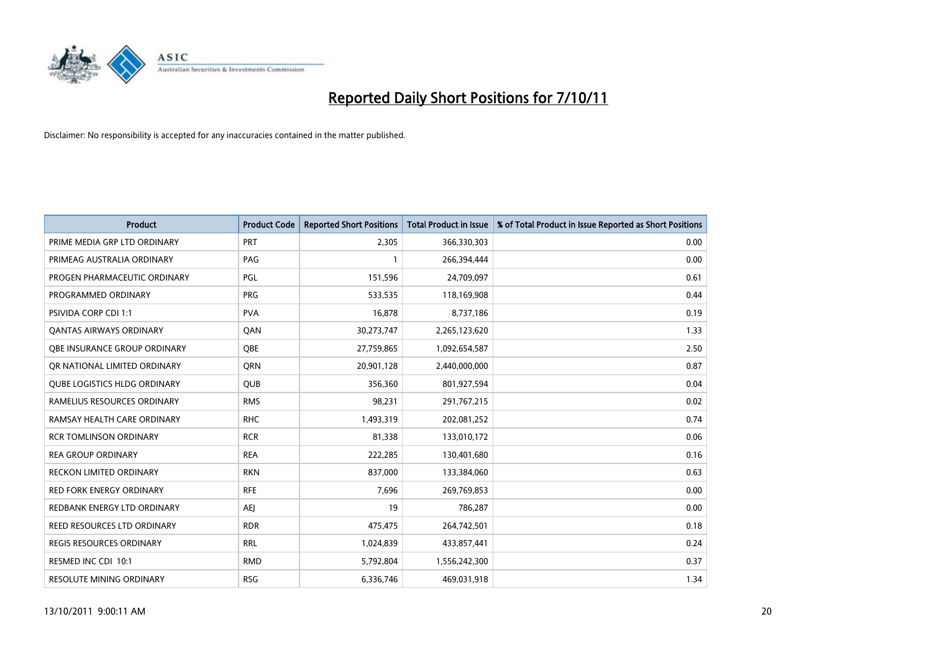

| <b>Product</b>                      | <b>Product Code</b> | <b>Reported Short Positions</b> | <b>Total Product in Issue</b> | % of Total Product in Issue Reported as Short Positions |
|-------------------------------------|---------------------|---------------------------------|-------------------------------|---------------------------------------------------------|
| PRIME MEDIA GRP LTD ORDINARY        | PRT                 | 2,305                           | 366,330,303                   | 0.00                                                    |
| PRIMEAG AUSTRALIA ORDINARY          | PAG                 |                                 | 266,394,444                   | 0.00                                                    |
| PROGEN PHARMACEUTIC ORDINARY        | PGL                 | 151,596                         | 24,709,097                    | 0.61                                                    |
| PROGRAMMED ORDINARY                 | <b>PRG</b>          | 533,535                         | 118,169,908                   | 0.44                                                    |
| PSIVIDA CORP CDI 1:1                | <b>PVA</b>          | 16,878                          | 8,737,186                     | 0.19                                                    |
| <b>QANTAS AIRWAYS ORDINARY</b>      | QAN                 | 30,273,747                      | 2,265,123,620                 | 1.33                                                    |
| OBE INSURANCE GROUP ORDINARY        | <b>OBE</b>          | 27,759,865                      | 1,092,654,587                 | 2.50                                                    |
| OR NATIONAL LIMITED ORDINARY        | <b>ORN</b>          | 20,901,128                      | 2,440,000,000                 | 0.87                                                    |
| <b>QUBE LOGISTICS HLDG ORDINARY</b> | QUB                 | 356,360                         | 801,927,594                   | 0.04                                                    |
| RAMELIUS RESOURCES ORDINARY         | <b>RMS</b>          | 98,231                          | 291,767,215                   | 0.02                                                    |
| RAMSAY HEALTH CARE ORDINARY         | <b>RHC</b>          | 1,493,319                       | 202,081,252                   | 0.74                                                    |
| <b>RCR TOMLINSON ORDINARY</b>       | <b>RCR</b>          | 81,338                          | 133,010,172                   | 0.06                                                    |
| <b>REA GROUP ORDINARY</b>           | <b>REA</b>          | 222,285                         | 130,401,680                   | 0.16                                                    |
| <b>RECKON LIMITED ORDINARY</b>      | <b>RKN</b>          | 837,000                         | 133,384,060                   | 0.63                                                    |
| <b>RED FORK ENERGY ORDINARY</b>     | <b>RFE</b>          | 7,696                           | 269,769,853                   | 0.00                                                    |
| REDBANK ENERGY LTD ORDINARY         | AEJ                 | 19                              | 786,287                       | 0.00                                                    |
| REED RESOURCES LTD ORDINARY         | <b>RDR</b>          | 475,475                         | 264,742,501                   | 0.18                                                    |
| REGIS RESOURCES ORDINARY            | <b>RRL</b>          | 1,024,839                       | 433,857,441                   | 0.24                                                    |
| RESMED INC CDI 10:1                 | <b>RMD</b>          | 5,792,804                       | 1,556,242,300                 | 0.37                                                    |
| RESOLUTE MINING ORDINARY            | <b>RSG</b>          | 6,336,746                       | 469,031,918                   | 1.34                                                    |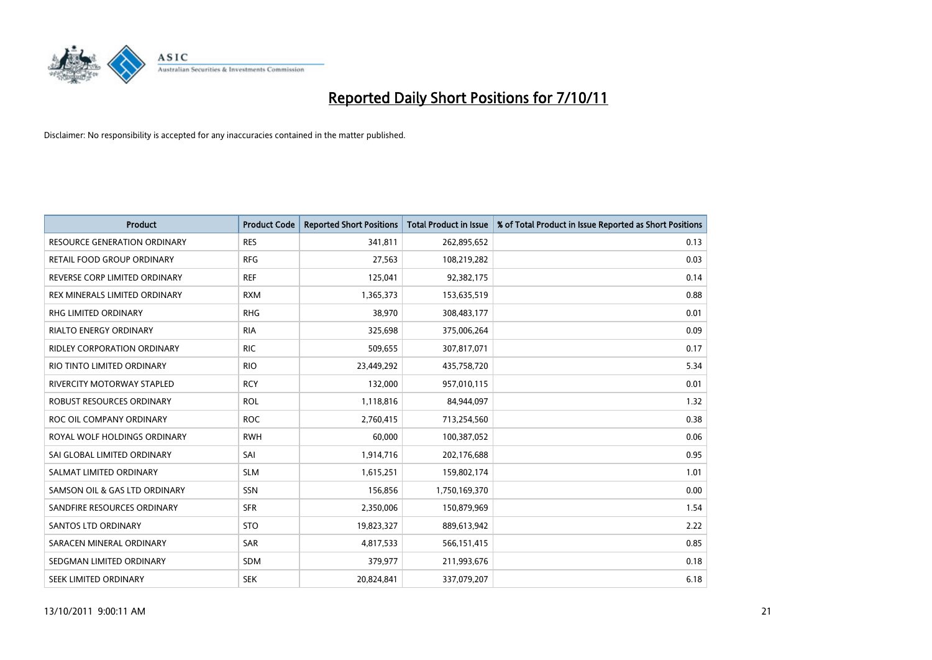

| <b>Product</b>                      | <b>Product Code</b> | <b>Reported Short Positions</b> | <b>Total Product in Issue</b> | % of Total Product in Issue Reported as Short Positions |
|-------------------------------------|---------------------|---------------------------------|-------------------------------|---------------------------------------------------------|
| <b>RESOURCE GENERATION ORDINARY</b> | <b>RES</b>          | 341,811                         | 262,895,652                   | 0.13                                                    |
| RETAIL FOOD GROUP ORDINARY          | <b>RFG</b>          | 27,563                          | 108,219,282                   | 0.03                                                    |
| REVERSE CORP LIMITED ORDINARY       | <b>REF</b>          | 125,041                         | 92,382,175                    | 0.14                                                    |
| REX MINERALS LIMITED ORDINARY       | <b>RXM</b>          | 1,365,373                       | 153,635,519                   | 0.88                                                    |
| <b>RHG LIMITED ORDINARY</b>         | <b>RHG</b>          | 38,970                          | 308,483,177                   | 0.01                                                    |
| <b>RIALTO ENERGY ORDINARY</b>       | <b>RIA</b>          | 325,698                         | 375,006,264                   | 0.09                                                    |
| <b>RIDLEY CORPORATION ORDINARY</b>  | <b>RIC</b>          | 509,655                         | 307,817,071                   | 0.17                                                    |
| RIO TINTO LIMITED ORDINARY          | <b>RIO</b>          | 23,449,292                      | 435,758,720                   | 5.34                                                    |
| <b>RIVERCITY MOTORWAY STAPLED</b>   | <b>RCY</b>          | 132,000                         | 957,010,115                   | 0.01                                                    |
| ROBUST RESOURCES ORDINARY           | <b>ROL</b>          | 1,118,816                       | 84,944,097                    | 1.32                                                    |
| ROC OIL COMPANY ORDINARY            | <b>ROC</b>          | 2,760,415                       | 713,254,560                   | 0.38                                                    |
| ROYAL WOLF HOLDINGS ORDINARY        | <b>RWH</b>          | 60,000                          | 100,387,052                   | 0.06                                                    |
| SAI GLOBAL LIMITED ORDINARY         | SAI                 | 1,914,716                       | 202,176,688                   | 0.95                                                    |
| SALMAT LIMITED ORDINARY             | <b>SLM</b>          | 1,615,251                       | 159,802,174                   | 1.01                                                    |
| SAMSON OIL & GAS LTD ORDINARY       | SSN                 | 156,856                         | 1,750,169,370                 | 0.00                                                    |
| SANDFIRE RESOURCES ORDINARY         | <b>SFR</b>          | 2,350,006                       | 150,879,969                   | 1.54                                                    |
| <b>SANTOS LTD ORDINARY</b>          | <b>STO</b>          | 19,823,327                      | 889,613,942                   | 2.22                                                    |
| SARACEN MINERAL ORDINARY            | SAR                 | 4,817,533                       | 566,151,415                   | 0.85                                                    |
| SEDGMAN LIMITED ORDINARY            | <b>SDM</b>          | 379,977                         | 211,993,676                   | 0.18                                                    |
| SEEK LIMITED ORDINARY               | <b>SEK</b>          | 20,824,841                      | 337,079,207                   | 6.18                                                    |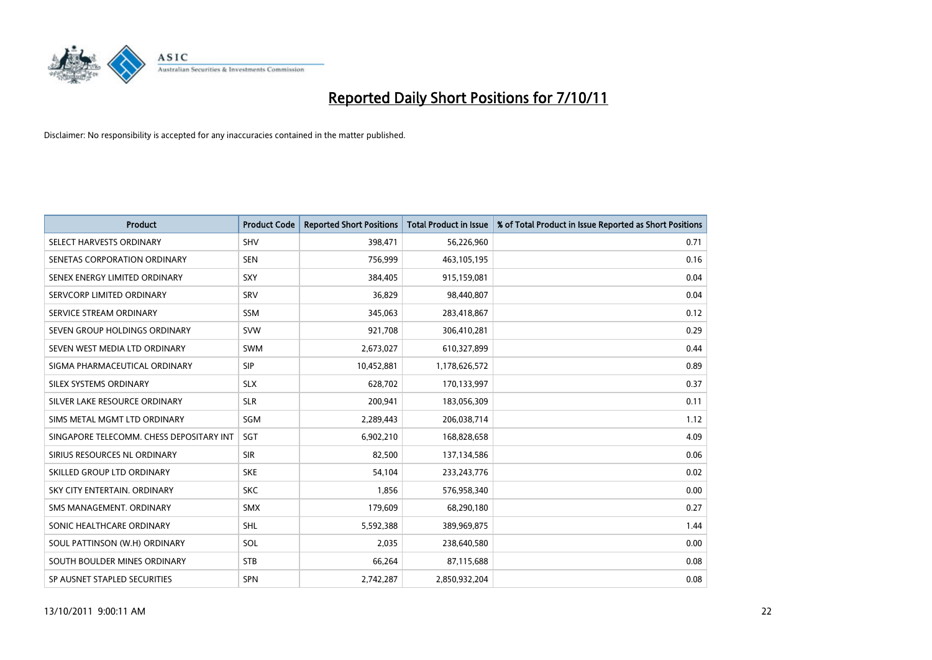

| <b>Product</b>                           | <b>Product Code</b> | <b>Reported Short Positions</b> | <b>Total Product in Issue</b> | % of Total Product in Issue Reported as Short Positions |
|------------------------------------------|---------------------|---------------------------------|-------------------------------|---------------------------------------------------------|
| SELECT HARVESTS ORDINARY                 | <b>SHV</b>          | 398,471                         | 56,226,960                    | 0.71                                                    |
| SENETAS CORPORATION ORDINARY             | <b>SEN</b>          | 756,999                         | 463,105,195                   | 0.16                                                    |
| SENEX ENERGY LIMITED ORDINARY            | <b>SXY</b>          | 384,405                         | 915,159,081                   | 0.04                                                    |
| SERVCORP LIMITED ORDINARY                | SRV                 | 36,829                          | 98,440,807                    | 0.04                                                    |
| SERVICE STREAM ORDINARY                  | <b>SSM</b>          | 345,063                         | 283,418,867                   | 0.12                                                    |
| SEVEN GROUP HOLDINGS ORDINARY            | <b>SVW</b>          | 921,708                         | 306,410,281                   | 0.29                                                    |
| SEVEN WEST MEDIA LTD ORDINARY            | <b>SWM</b>          | 2,673,027                       | 610,327,899                   | 0.44                                                    |
| SIGMA PHARMACEUTICAL ORDINARY            | <b>SIP</b>          | 10,452,881                      | 1,178,626,572                 | 0.89                                                    |
| SILEX SYSTEMS ORDINARY                   | <b>SLX</b>          | 628,702                         | 170,133,997                   | 0.37                                                    |
| SILVER LAKE RESOURCE ORDINARY            | <b>SLR</b>          | 200,941                         | 183,056,309                   | 0.11                                                    |
| SIMS METAL MGMT LTD ORDINARY             | SGM                 | 2,289,443                       | 206,038,714                   | 1.12                                                    |
| SINGAPORE TELECOMM. CHESS DEPOSITARY INT | <b>SGT</b>          | 6,902,210                       | 168,828,658                   | 4.09                                                    |
| SIRIUS RESOURCES NL ORDINARY             | <b>SIR</b>          | 82,500                          | 137,134,586                   | 0.06                                                    |
| SKILLED GROUP LTD ORDINARY               | <b>SKE</b>          | 54,104                          | 233, 243, 776                 | 0.02                                                    |
| SKY CITY ENTERTAIN, ORDINARY             | <b>SKC</b>          | 1,856                           | 576,958,340                   | 0.00                                                    |
| SMS MANAGEMENT. ORDINARY                 | <b>SMX</b>          | 179,609                         | 68,290,180                    | 0.27                                                    |
| SONIC HEALTHCARE ORDINARY                | <b>SHL</b>          | 5,592,388                       | 389,969,875                   | 1.44                                                    |
| SOUL PATTINSON (W.H) ORDINARY            | SOL                 | 2,035                           | 238,640,580                   | 0.00                                                    |
| SOUTH BOULDER MINES ORDINARY             | <b>STB</b>          | 66,264                          | 87,115,688                    | 0.08                                                    |
| SP AUSNET STAPLED SECURITIES             | <b>SPN</b>          | 2,742,287                       | 2,850,932,204                 | 0.08                                                    |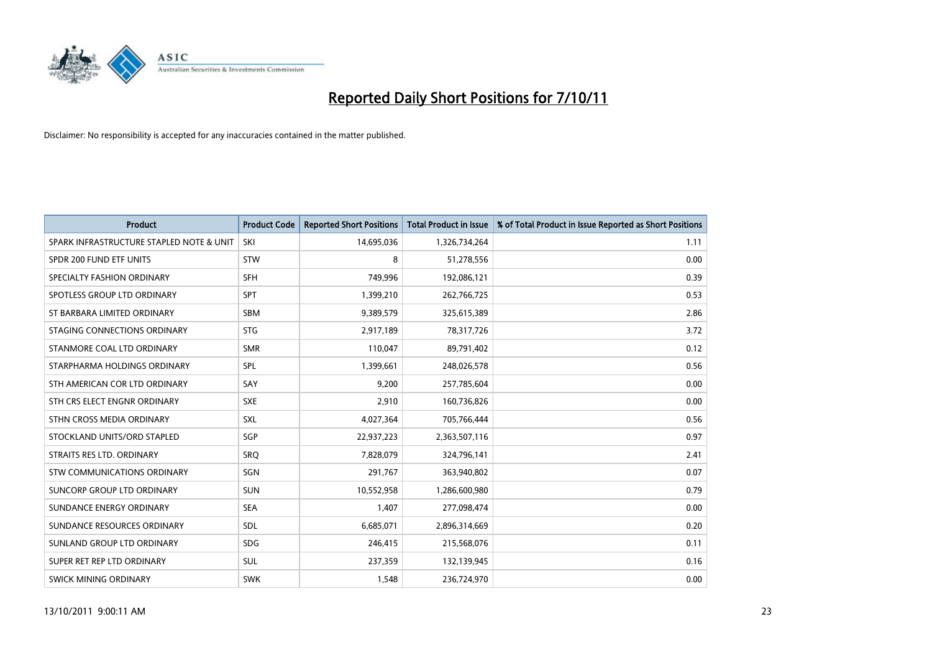

| <b>Product</b>                           | <b>Product Code</b> | <b>Reported Short Positions</b> | <b>Total Product in Issue</b> | % of Total Product in Issue Reported as Short Positions |
|------------------------------------------|---------------------|---------------------------------|-------------------------------|---------------------------------------------------------|
| SPARK INFRASTRUCTURE STAPLED NOTE & UNIT | SKI                 | 14,695,036                      | 1,326,734,264                 | 1.11                                                    |
| SPDR 200 FUND ETF UNITS                  | <b>STW</b>          | 8                               | 51,278,556                    | 0.00                                                    |
| SPECIALTY FASHION ORDINARY               | <b>SFH</b>          | 749,996                         | 192,086,121                   | 0.39                                                    |
| SPOTLESS GROUP LTD ORDINARY              | <b>SPT</b>          | 1,399,210                       | 262,766,725                   | 0.53                                                    |
| ST BARBARA LIMITED ORDINARY              | <b>SBM</b>          | 9,389,579                       | 325,615,389                   | 2.86                                                    |
| STAGING CONNECTIONS ORDINARY             | <b>STG</b>          | 2,917,189                       | 78,317,726                    | 3.72                                                    |
| STANMORE COAL LTD ORDINARY               | <b>SMR</b>          | 110,047                         | 89,791,402                    | 0.12                                                    |
| STARPHARMA HOLDINGS ORDINARY             | SPL                 | 1,399,661                       | 248,026,578                   | 0.56                                                    |
| STH AMERICAN COR LTD ORDINARY            | SAY                 | 9.200                           | 257,785,604                   | 0.00                                                    |
| STH CRS ELECT ENGNR ORDINARY             | <b>SXE</b>          | 2,910                           | 160,736,826                   | 0.00                                                    |
| STHN CROSS MEDIA ORDINARY                | <b>SXL</b>          | 4,027,364                       | 705,766,444                   | 0.56                                                    |
| STOCKLAND UNITS/ORD STAPLED              | SGP                 | 22,937,223                      | 2,363,507,116                 | 0.97                                                    |
| STRAITS RES LTD. ORDINARY                | SRO                 | 7,828,079                       | 324,796,141                   | 2.41                                                    |
| <b>STW COMMUNICATIONS ORDINARY</b>       | SGN                 | 291,767                         | 363,940,802                   | 0.07                                                    |
| SUNCORP GROUP LTD ORDINARY               | <b>SUN</b>          | 10,552,958                      | 1,286,600,980                 | 0.79                                                    |
| SUNDANCE ENERGY ORDINARY                 | <b>SEA</b>          | 1,407                           | 277,098,474                   | 0.00                                                    |
| SUNDANCE RESOURCES ORDINARY              | <b>SDL</b>          | 6,685,071                       | 2,896,314,669                 | 0.20                                                    |
| SUNLAND GROUP LTD ORDINARY               | <b>SDG</b>          | 246,415                         | 215,568,076                   | 0.11                                                    |
| SUPER RET REP LTD ORDINARY               | <b>SUL</b>          | 237,359                         | 132,139,945                   | 0.16                                                    |
| SWICK MINING ORDINARY                    | <b>SWK</b>          | 1,548                           | 236,724,970                   | 0.00                                                    |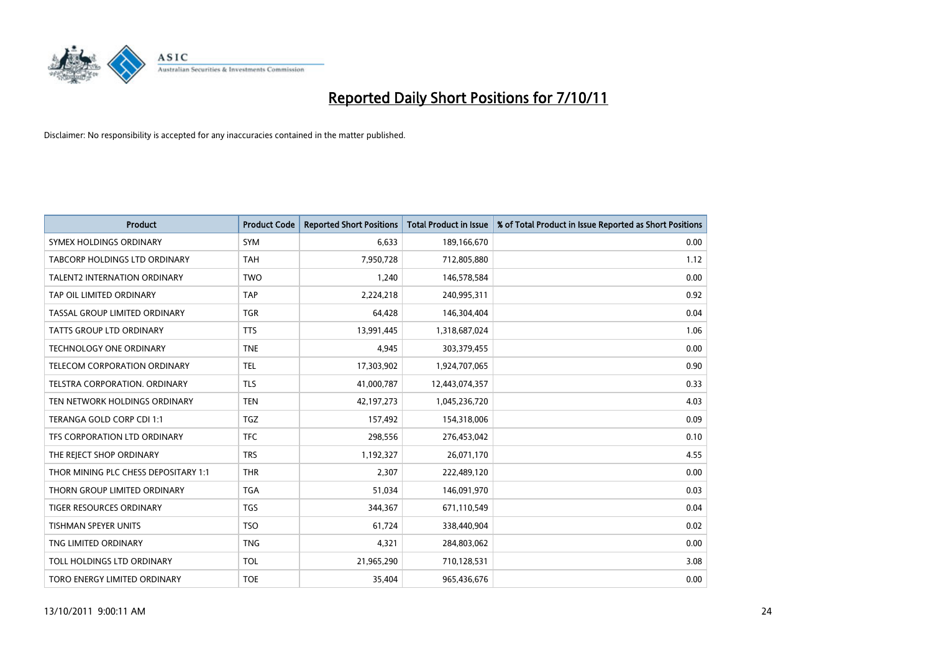

| <b>Product</b>                       | <b>Product Code</b> | <b>Reported Short Positions</b> | <b>Total Product in Issue</b> | % of Total Product in Issue Reported as Short Positions |
|--------------------------------------|---------------------|---------------------------------|-------------------------------|---------------------------------------------------------|
| SYMEX HOLDINGS ORDINARY              | <b>SYM</b>          | 6,633                           | 189,166,670                   | 0.00                                                    |
| TABCORP HOLDINGS LTD ORDINARY        | <b>TAH</b>          | 7,950,728                       | 712,805,880                   | 1.12                                                    |
| <b>TALENT2 INTERNATION ORDINARY</b>  | <b>TWO</b>          | 1,240                           | 146,578,584                   | 0.00                                                    |
| TAP OIL LIMITED ORDINARY             | <b>TAP</b>          | 2,224,218                       | 240,995,311                   | 0.92                                                    |
| TASSAL GROUP LIMITED ORDINARY        | <b>TGR</b>          | 64,428                          | 146,304,404                   | 0.04                                                    |
| TATTS GROUP LTD ORDINARY             | <b>TTS</b>          | 13,991,445                      | 1,318,687,024                 | 1.06                                                    |
| <b>TECHNOLOGY ONE ORDINARY</b>       | <b>TNE</b>          | 4.945                           | 303,379,455                   | 0.00                                                    |
| TELECOM CORPORATION ORDINARY         | <b>TEL</b>          | 17,303,902                      | 1,924,707,065                 | 0.90                                                    |
| TELSTRA CORPORATION. ORDINARY        | <b>TLS</b>          | 41,000,787                      | 12,443,074,357                | 0.33                                                    |
| TEN NETWORK HOLDINGS ORDINARY        | <b>TEN</b>          | 42,197,273                      | 1,045,236,720                 | 4.03                                                    |
| TERANGA GOLD CORP CDI 1:1            | <b>TGZ</b>          | 157,492                         | 154,318,006                   | 0.09                                                    |
| TFS CORPORATION LTD ORDINARY         | <b>TFC</b>          | 298,556                         | 276,453,042                   | 0.10                                                    |
| THE REJECT SHOP ORDINARY             | <b>TRS</b>          | 1,192,327                       | 26,071,170                    | 4.55                                                    |
| THOR MINING PLC CHESS DEPOSITARY 1:1 | <b>THR</b>          | 2.307                           | 222,489,120                   | 0.00                                                    |
| THORN GROUP LIMITED ORDINARY         | <b>TGA</b>          | 51,034                          | 146,091,970                   | 0.03                                                    |
| <b>TIGER RESOURCES ORDINARY</b>      | <b>TGS</b>          | 344,367                         | 671,110,549                   | 0.04                                                    |
| <b>TISHMAN SPEYER UNITS</b>          | <b>TSO</b>          | 61,724                          | 338,440,904                   | 0.02                                                    |
| TNG LIMITED ORDINARY                 | <b>TNG</b>          | 4,321                           | 284,803,062                   | 0.00                                                    |
| TOLL HOLDINGS LTD ORDINARY           | <b>TOL</b>          | 21,965,290                      | 710,128,531                   | 3.08                                                    |
| TORO ENERGY LIMITED ORDINARY         | <b>TOE</b>          | 35,404                          | 965,436,676                   | 0.00                                                    |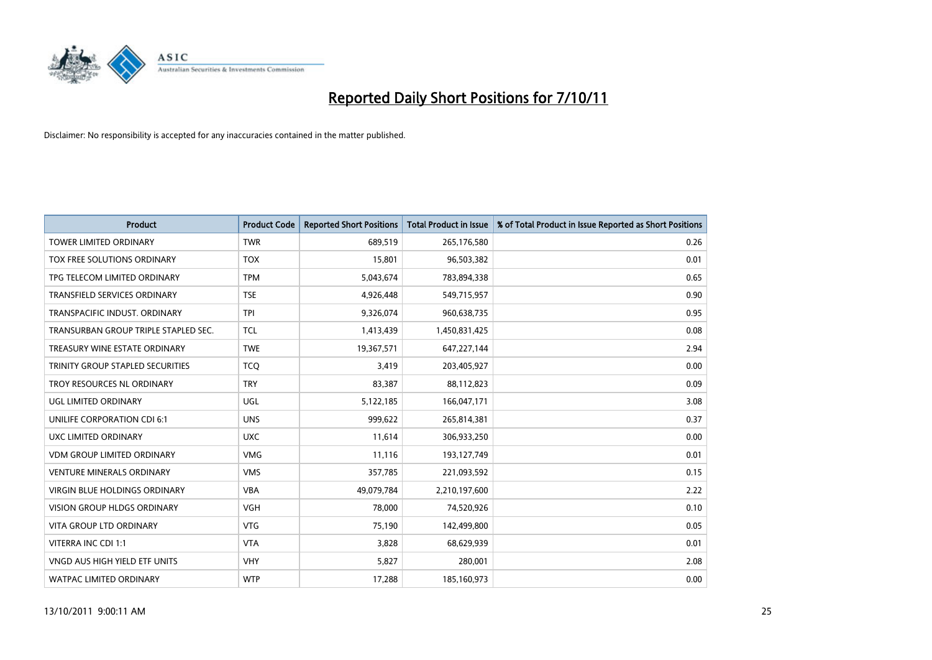

| <b>Product</b>                          | <b>Product Code</b> | <b>Reported Short Positions</b> | <b>Total Product in Issue</b> | % of Total Product in Issue Reported as Short Positions |
|-----------------------------------------|---------------------|---------------------------------|-------------------------------|---------------------------------------------------------|
| <b>TOWER LIMITED ORDINARY</b>           | <b>TWR</b>          | 689,519                         | 265,176,580                   | 0.26                                                    |
| TOX FREE SOLUTIONS ORDINARY             | <b>TOX</b>          | 15,801                          | 96,503,382                    | 0.01                                                    |
| TPG TELECOM LIMITED ORDINARY            | <b>TPM</b>          | 5,043,674                       | 783,894,338                   | 0.65                                                    |
| TRANSFIELD SERVICES ORDINARY            | <b>TSE</b>          | 4,926,448                       | 549,715,957                   | 0.90                                                    |
| TRANSPACIFIC INDUST, ORDINARY           | <b>TPI</b>          | 9,326,074                       | 960,638,735                   | 0.95                                                    |
| TRANSURBAN GROUP TRIPLE STAPLED SEC.    | <b>TCL</b>          | 1,413,439                       | 1,450,831,425                 | 0.08                                                    |
| TREASURY WINE ESTATE ORDINARY           | <b>TWE</b>          | 19,367,571                      | 647,227,144                   | 2.94                                                    |
| <b>TRINITY GROUP STAPLED SECURITIES</b> | <b>TCQ</b>          | 3.419                           | 203,405,927                   | 0.00                                                    |
| <b>TROY RESOURCES NL ORDINARY</b>       | <b>TRY</b>          | 83,387                          | 88,112,823                    | 0.09                                                    |
| <b>UGL LIMITED ORDINARY</b>             | <b>UGL</b>          | 5,122,185                       | 166,047,171                   | 3.08                                                    |
| UNILIFE CORPORATION CDI 6:1             | <b>UNS</b>          | 999,622                         | 265,814,381                   | 0.37                                                    |
| UXC LIMITED ORDINARY                    | <b>UXC</b>          | 11,614                          | 306,933,250                   | 0.00                                                    |
| <b>VDM GROUP LIMITED ORDINARY</b>       | <b>VMG</b>          | 11,116                          | 193,127,749                   | 0.01                                                    |
| <b>VENTURE MINERALS ORDINARY</b>        | <b>VMS</b>          | 357,785                         | 221,093,592                   | 0.15                                                    |
| <b>VIRGIN BLUE HOLDINGS ORDINARY</b>    | <b>VBA</b>          | 49,079,784                      | 2,210,197,600                 | 2.22                                                    |
| <b>VISION GROUP HLDGS ORDINARY</b>      | <b>VGH</b>          | 78,000                          | 74,520,926                    | 0.10                                                    |
| VITA GROUP LTD ORDINARY                 | <b>VTG</b>          | 75,190                          | 142,499,800                   | 0.05                                                    |
| VITERRA INC CDI 1:1                     | <b>VTA</b>          | 3,828                           | 68,629,939                    | 0.01                                                    |
| VNGD AUS HIGH YIELD ETF UNITS           | <b>VHY</b>          | 5,827                           | 280,001                       | 2.08                                                    |
| WATPAC LIMITED ORDINARY                 | <b>WTP</b>          | 17,288                          | 185,160,973                   | 0.00                                                    |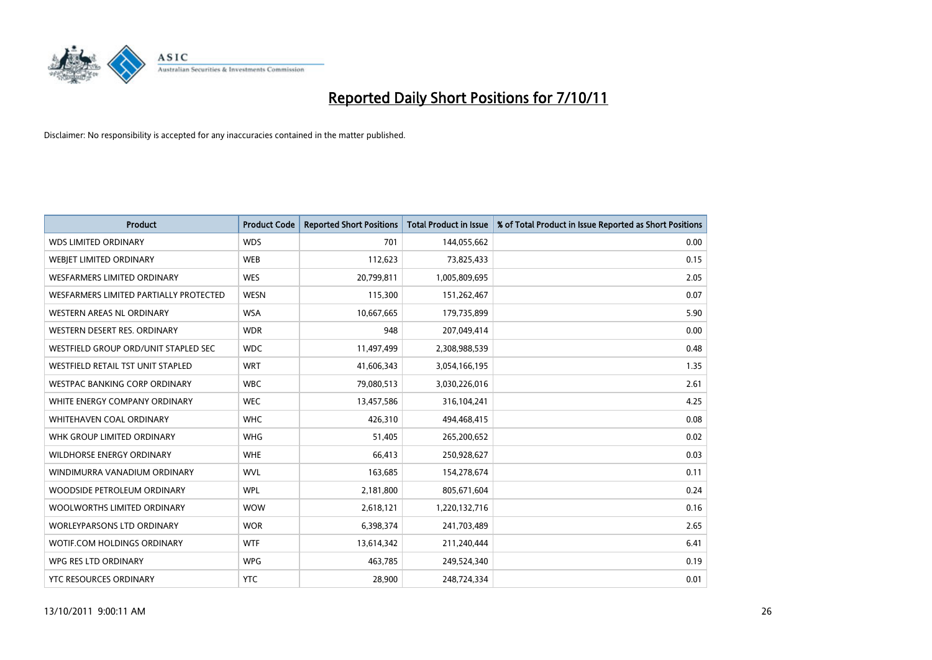

| <b>Product</b>                         | <b>Product Code</b> | <b>Reported Short Positions</b> | <b>Total Product in Issue</b> | % of Total Product in Issue Reported as Short Positions |
|----------------------------------------|---------------------|---------------------------------|-------------------------------|---------------------------------------------------------|
| <b>WDS LIMITED ORDINARY</b>            | <b>WDS</b>          | 701                             | 144,055,662                   | 0.00                                                    |
| WEBIET LIMITED ORDINARY                | <b>WEB</b>          | 112,623                         | 73,825,433                    | 0.15                                                    |
| <b>WESFARMERS LIMITED ORDINARY</b>     | <b>WES</b>          | 20,799,811                      | 1,005,809,695                 | 2.05                                                    |
| WESFARMERS LIMITED PARTIALLY PROTECTED | <b>WESN</b>         | 115,300                         | 151,262,467                   | 0.07                                                    |
| <b>WESTERN AREAS NL ORDINARY</b>       | <b>WSA</b>          | 10,667,665                      | 179,735,899                   | 5.90                                                    |
| WESTERN DESERT RES. ORDINARY           | <b>WDR</b>          | 948                             | 207,049,414                   | 0.00                                                    |
| WESTFIELD GROUP ORD/UNIT STAPLED SEC   | <b>WDC</b>          | 11,497,499                      | 2,308,988,539                 | 0.48                                                    |
| WESTFIELD RETAIL TST UNIT STAPLED      | <b>WRT</b>          | 41,606,343                      | 3,054,166,195                 | 1.35                                                    |
| <b>WESTPAC BANKING CORP ORDINARY</b>   | <b>WBC</b>          | 79,080,513                      | 3,030,226,016                 | 2.61                                                    |
| WHITE ENERGY COMPANY ORDINARY          | <b>WEC</b>          | 13,457,586                      | 316,104,241                   | 4.25                                                    |
| WHITEHAVEN COAL ORDINARY               | <b>WHC</b>          | 426,310                         | 494,468,415                   | 0.08                                                    |
| WHK GROUP LIMITED ORDINARY             | <b>WHG</b>          | 51,405                          | 265,200,652                   | 0.02                                                    |
| WILDHORSE ENERGY ORDINARY              | <b>WHE</b>          | 66,413                          | 250,928,627                   | 0.03                                                    |
| WINDIMURRA VANADIUM ORDINARY           | <b>WVL</b>          | 163,685                         | 154,278,674                   | 0.11                                                    |
| WOODSIDE PETROLEUM ORDINARY            | <b>WPL</b>          | 2,181,800                       | 805,671,604                   | 0.24                                                    |
| WOOLWORTHS LIMITED ORDINARY            | <b>WOW</b>          | 2,618,121                       | 1,220,132,716                 | 0.16                                                    |
| WORLEYPARSONS LTD ORDINARY             | <b>WOR</b>          | 6,398,374                       | 241,703,489                   | 2.65                                                    |
| WOTIF.COM HOLDINGS ORDINARY            | <b>WTF</b>          | 13,614,342                      | 211,240,444                   | 6.41                                                    |
| WPG RES LTD ORDINARY                   | <b>WPG</b>          | 463,785                         | 249,524,340                   | 0.19                                                    |
| YTC RESOURCES ORDINARY                 | <b>YTC</b>          | 28,900                          | 248,724,334                   | 0.01                                                    |